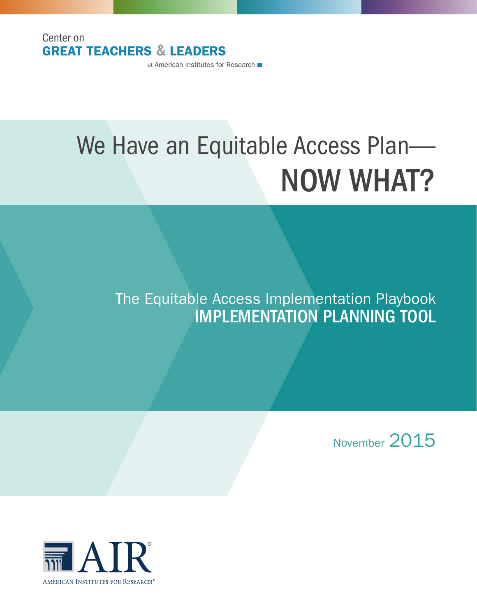Center on GREAT TEACHERS & LEADERS

at American Institutes for Research

# We Have an Equitable Access Plan— NOW WHAT?

# The Equitable Access Implementation Playbook IMPLEMENTATION PLANNING TOOL

November 2015

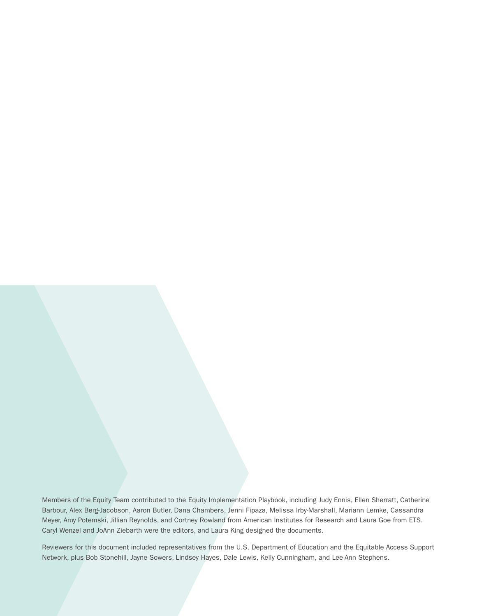Members of the Equity Team contributed to the Equity Implementation Playbook, including Judy Ennis, Ellen Sherratt, Catherine Barbour, Alex Berg-Jacobson, Aaron Butler, Dana Chambers, Jenni Fipaza, Melissa Irby-Marshall, Mariann Lemke, Cassandra Meyer, Amy Potemski, Jillian Reynolds, and Cortney Rowland from American Institutes for Research and Laura Goe from ETS. Caryl Wenzel and JoAnn Ziebarth were the editors, and Laura King designed the documents.

Reviewers for this document included representatives from the U.S. Department of Education and the Equitable Access Support Network, plus Bob Stonehill, Jayne Sowers, Lindsey Hayes, Dale Lewis, Kelly Cunningham, and Lee-Ann Stephens.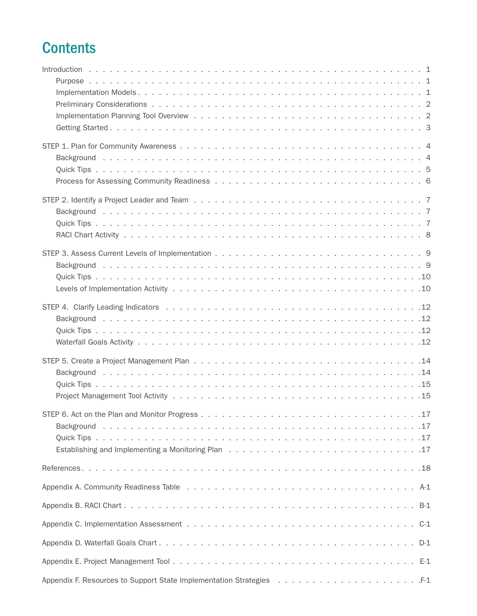# **Contents**

|  |  |  |  |  |  | $C-1$ |
|--|--|--|--|--|--|-------|
|  |  |  |  |  |  |       |
|  |  |  |  |  |  |       |
|  |  |  |  |  |  |       |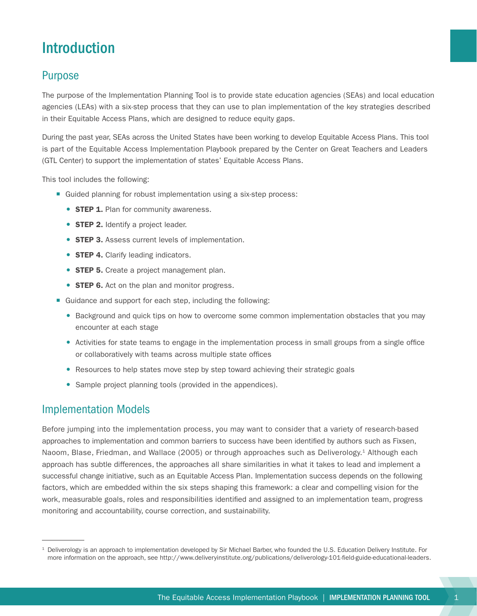# <span id="page-4-0"></span>Introduction

### Purpose

The purpose of the Implementation Planning Tool is to provide state education agencies (SEAs) and local education agencies (LEAs) with a six-step process that they can use to plan implementation of the key strategies described in their Equitable Access Plans, which are designed to reduce equity gaps.

During the past year, SEAs across the United States have been working to develop Equitable Access Plans. This tool is part of the Equitable Access Implementation Playbook prepared by the Center on Great Teachers and Leaders (GTL Center) to support the implementation of states' Equitable Access Plans.

This tool includes the following:

- Guided planning for robust implementation using a six-step process:
	- **STEP 1.** Plan for community awareness.
	- **STEP 2.** Identify a project leader.
	- **STEP 3.** Assess current levels of implementation.
	- **STEP 4.** Clarify leading indicators.
	- **STEP 5.** Create a project management plan.
	- **STEP 6.** Act on the plan and monitor progress.
- Guidance and support for each step, including the following:
	- **Background and quick tips on how to overcome some common implementation obstacles that you may** encounter at each stage
	- Activities for state teams to engage in the implementation process in small groups from a single office or collaboratively with teams across multiple state offices
	- Resources to help states move step by step toward achieving their strategic goals
	- Sample project planning tools (provided in the appendices).

### Implementation Models

Before jumping into the implementation process, you may want to consider that a variety of research-based approaches to implementation and common barriers to success have been identified by authors such as Fixsen, Naoom, Blase, Friedman, and Wallace (2005) or through approaches such as Deliverology.<sup>1</sup> Although each approach has subtle differences, the approaches all share similarities in what it takes to lead and implement a successful change initiative, such as an Equitable Access Plan. Implementation success depends on the following factors, which are embedded within the six steps shaping this framework: a clear and compelling vision for the work, measurable goals, roles and responsibilities identified and assigned to an implementation team, progress monitoring and accountability, course correction, and sustainability.

<sup>1</sup> Deliverology is an approach to implementation developed by Sir Michael Barber, who founded the U.S. Education Delivery Institute. For more information on the approach, see<http://www.deliveryinstitute.org/publications/deliverology-101-field-guide-educational-leaders>.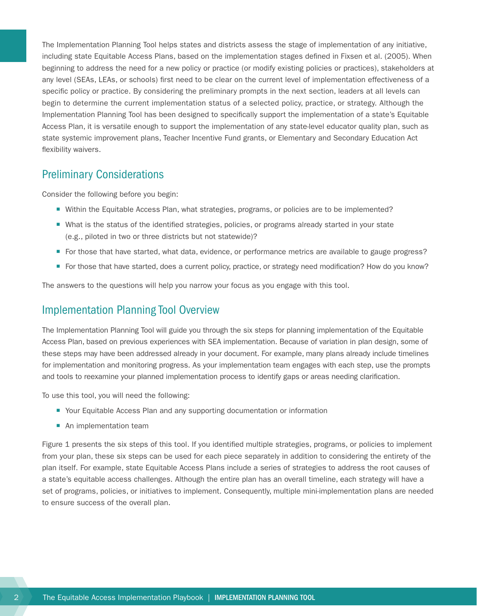<span id="page-5-0"></span>The Implementation Planning Tool helps states and districts assess the stage of implementation of any initiative, including state Equitable Access Plans, based on the implementation stages defined in Fixsen et al. (2005). When beginning to address the need for a new policy or practice (or modify existing policies or practices), stakeholders at any level (SEAs, LEAs, or schools) first need to be clear on the current level of implementation effectiveness of a specific policy or practice. By considering the preliminary prompts in the next section, leaders at all levels can begin to determine the current implementation status of a selected policy, practice, or strategy. Although the Implementation Planning Tool has been designed to specifically support the implementation of a state's Equitable Access Plan, it is versatile enough to support the implementation of any state-level educator quality plan, such as state systemic improvement plans, Teacher Incentive Fund grants, or Elementary and Secondary Education Act flexibility waivers.

### Preliminary Considerations

Consider the following before you begin:

- ¡ Within the Equitable Access Plan, what strategies, programs, or policies are to be implemented?
- What is the status of the identified strategies, policies, or programs already started in your state (e.g., piloted in two or three districts but not statewide)?
- ¡ For those that have started, what data, evidence, or performance metrics are available to gauge progress?
- For those that have started, does a current policy, practice, or strategy need modification? How do you know?

The answers to the questions will help you narrow your focus as you engage with this tool.

### Implementation Planning Tool Overview

The Implementation Planning Tool will guide you through the six steps for planning implementation of the Equitable Access Plan, based on previous experiences with SEA implementation. Because of variation in plan design, some of these steps may have been addressed already in your document. For example, many plans already include timelines for implementation and monitoring progress. As your implementation team engages with each step, use the prompts and tools to reexamine your planned implementation process to identify gaps or areas needing clarification.

To use this tool, you will need the following:

- Your Equitable Access Plan and any supporting documentation or information
- An implementation team

Figure 1 presents the six steps of this tool. If you identified multiple strategies, programs, or policies to implement from your plan, these six steps can be used for each piece separately in addition to considering the entirety of the plan itself. For example, state Equitable Access Plans include a series of strategies to address the root causes of a state's equitable access challenges. Although the entire plan has an overall timeline, each strategy will have a set of programs, policies, or initiatives to implement. Consequently, multiple mini-implementation plans are needed to ensure success of the overall plan.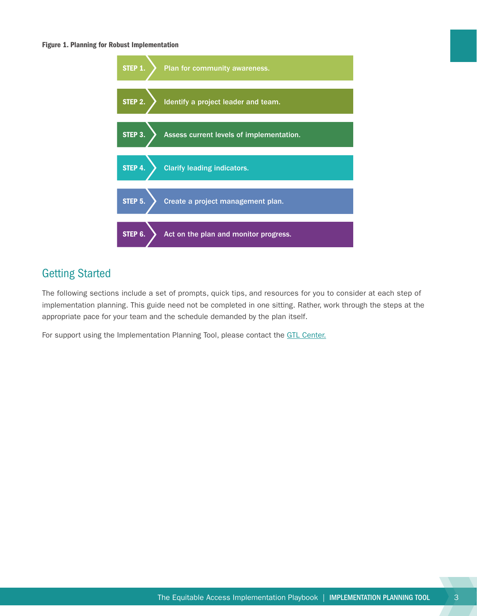#### <span id="page-6-0"></span>Figure 1. Planning for Robust Implementation



### Getting Started

The following sections include a set of prompts, quick tips, and resources for you to consider at each step of implementation planning. This guide need not be completed in one sitting. Rather, work through the steps at the appropriate pace for your team and the schedule demanded by the plan itself.

For support using the Implementation Planning Tool, please contact the [GTL Center.](http://www.gtlcenter.org/)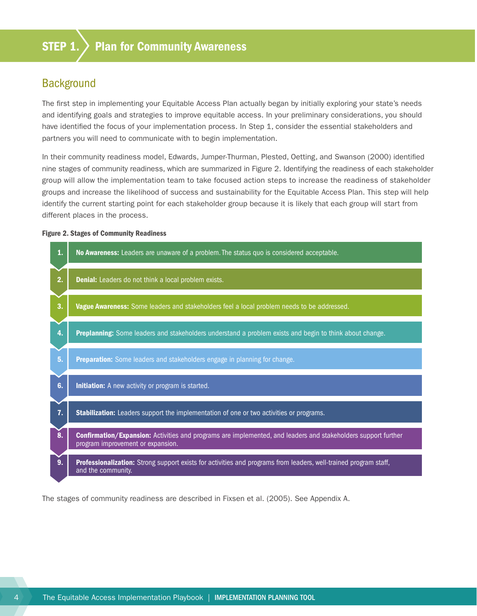### <span id="page-7-0"></span>**Background**

The first step in implementing your Equitable Access Plan actually began by initially exploring your state's needs and identifying goals and strategies to improve equitable access. In your preliminary considerations, you should have identified the focus of your implementation process. In Step 1, consider the essential stakeholders and partners you will need to communicate with to begin implementation.

In their community readiness model, Edwards, Jumper-Thurman, Plested, Oetting, and Swanson (2000) identified nine stages of community readiness, which are summarized in Figure 2. Identifying the readiness of each stakeholder group will allow the implementation team to take focused action steps to increase the readiness of stakeholder groups and increase the likelihood of success and sustainability for the Equitable Access Plan. This step will help identify the current starting point for each stakeholder group because it is likely that each group will start from different places in the process.

#### Figure 2. Stages of Community Readiness



The stages of community readiness are described in Fixsen et al. (2005). See Appendix A.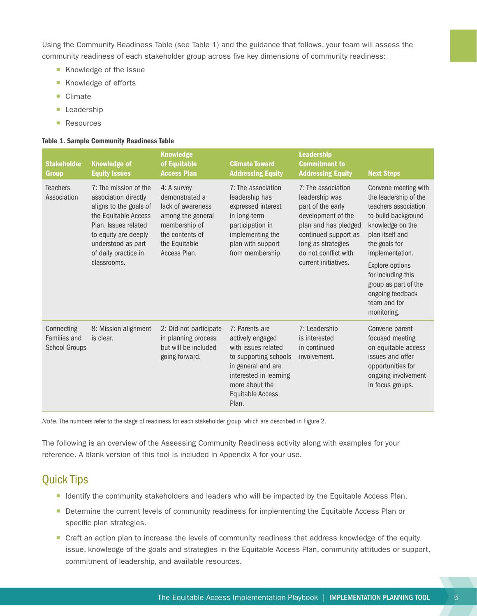<span id="page-8-0"></span>Using the Community Readiness Table (see Table 1) and the guidance that follows, your team will assess the community readiness of each stakeholder group across five key dimensions of community readiness:

- Knowledge of the issue
- Knowledge of efforts
- Climate
- **Leadership**
- Resources

#### Table 1. Sample Community Readiness Table

| <b>Stakeholder</b><br>Group                        | <b>Knowledge of</b><br><b>Equity Issues</b>                                                                                                                                                                  | <b>Knowledge</b><br>of Equitable<br><b>Access Plan</b>                                                                                       | <b>Climate Toward</b><br><b>Addressing Equity</b>                                                                                                                                        | <b>Leadership</b><br><b>Commitment to</b><br><b>Addressing Equity</b>                                                                                                                                 | <b>Next Steps</b>                                                                                                                                                                                                                                                                           |
|----------------------------------------------------|--------------------------------------------------------------------------------------------------------------------------------------------------------------------------------------------------------------|----------------------------------------------------------------------------------------------------------------------------------------------|------------------------------------------------------------------------------------------------------------------------------------------------------------------------------------------|-------------------------------------------------------------------------------------------------------------------------------------------------------------------------------------------------------|---------------------------------------------------------------------------------------------------------------------------------------------------------------------------------------------------------------------------------------------------------------------------------------------|
| <b>Teachers</b><br>Association                     | 7: The mission of the<br>association directly<br>aligns to the goals of<br>the Equitable Access<br>Plan. Issues related<br>to equity are deeply<br>understood as part<br>of daily practice in<br>classrooms. | 4: A survey<br>demonstrated a<br>lack of awareness<br>among the general<br>membership of<br>the contents of<br>the Equitable<br>Access Plan. | 7: The association<br>leadership has<br>expressed interest<br>in long-term<br>participation in<br>implementing the<br>plan with support<br>from membership.                              | 7: The association<br>leadership was<br>part of the early<br>development of the<br>plan and has pledged<br>continued support as<br>long as strategies<br>do not conflict with<br>current initiatives. | Convene meeting with<br>the leadership of the<br>teachers association<br>to build background<br>knowledge on the<br>plan itself and<br>the goals for<br>implementation.<br>Explore options<br>for including this<br>group as part of the<br>ongoing feedback<br>team and for<br>monitoring. |
| Connecting<br>Families and<br><b>School Groups</b> | 8: Mission alignment<br>is clear.                                                                                                                                                                            | 2: Did not participate<br>in planning process<br>but will be included<br>going forward.                                                      | 7: Parents are<br>actively engaged<br>with issues related<br>to supporting schools<br>in general and are<br>interested in learning<br>more about the<br><b>Equitable Access</b><br>Plan. | 7: Leadership<br>is interested<br>in continued<br>involvement.                                                                                                                                        | Convene parent-<br>focused meeting<br>on equitable access<br>issues and offer<br>opportunities for<br>ongoing involvement<br>in focus groups.                                                                                                                                               |

*Note.* The numbers refer to the stage of readiness for each stakeholder group, which are described in Figure 2.

The following is an overview of the Assessing Community Readiness activity along with examples for your reference. A blank version of this tool is included in Appendix A for your use.

### Quick Tips

- Identify the community stakeholders and leaders who will be impacted by the Equitable Access Plan.
- **Determine the current levels of community readiness for implementing the Equitable Access Plan or** specific plan strategies.
- Craft an action plan to increase the levels of community readiness that address knowledge of the equity issue, knowledge of the goals and strategies in the Equitable Access Plan, community attitudes or support, commitment of leadership, and available resources.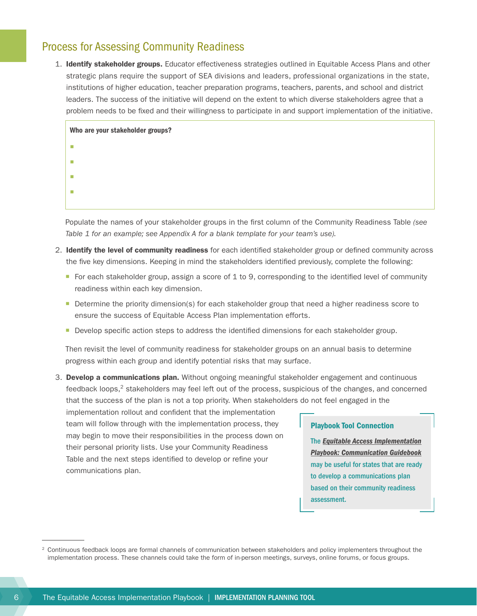### <span id="page-9-0"></span>Process for Assessing Community Readiness

1. Identify stakeholder groups. Educator effectiveness strategies outlined in Equitable Access Plans and other strategic plans require the support of SEA divisions and leaders, professional organizations in the state, institutions of higher education, teacher preparation programs, teachers, parents, and school and district leaders. The success of the initiative will depend on the extent to which diverse stakeholders agree that a problem needs to be fixed and their willingness to participate in and support implementation of the initiative.

| Who are your stakeholder groups? |  |
|----------------------------------|--|
| <b>TI</b>                        |  |
| ш                                |  |
| ш                                |  |
| ×                                |  |
|                                  |  |

Populate the names of your stakeholder groups in the first column of the Community Readiness Table *(see Table 1 for an example; see Appendix A for a blank template for your team's use).*

- 2. Identify the level of community readiness for each identified stakeholder group or defined community across the five key dimensions. Keeping in mind the stakeholders identified previously, complete the following:
	- For each stakeholder group, assign a score of 1 to 9, corresponding to the identified level of community readiness within each key dimension.
	- **•** Determine the priority dimension(s) for each stakeholder group that need a higher readiness score to ensure the success of Equitable Access Plan implementation efforts.
	- **Develop specific action steps to address the identified dimensions for each stakeholder group.**

Then revisit the level of community readiness for stakeholder groups on an annual basis to determine progress within each group and identify potential risks that may surface.

3. Develop a communications plan. Without ongoing meaningful stakeholder engagement and continuous feedback loops,<sup>2</sup> stakeholders may feel left out of the process, suspicious of the changes, and concerned that the success of the plan is not a top priority. When stakeholders do not feel engaged in the

implementation rollout and confident that the implementation team will follow through with the implementation process, they may begin to move their responsibilities in the process down on their personal priority lists. Use your Community Readiness Table and the next steps identified to develop or refine your communications plan.

#### Playbook Tool Connection

The *[Equitable Access Implementation](http://www.gtlcenter.org/sites/default/files/Communication_Guidebook.pdf) [Playbook: Communication Guidebook](http://www.gtlcenter.org/sites/default/files/Communication_Guidebook.pdf)* may be useful for states that are ready to develop a communications plan based on their community readiness assessment.

<sup>&</sup>lt;sup>2</sup> Continuous feedback loops are formal channels of communication between stakeholders and policy implementers throughout the implementation process. These channels could take the form of in-person meetings, surveys, online forums, or focus groups.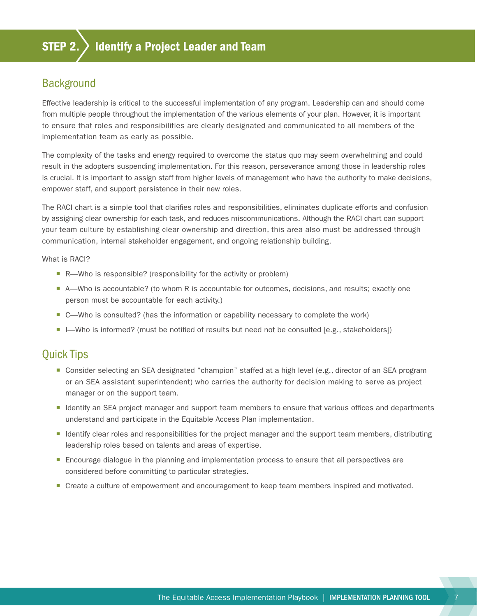### <span id="page-10-0"></span>**Background**

Effective leadership is critical to the successful implementation of any program. Leadership can and should come from multiple people throughout the implementation of the various elements of your plan. However, it is important to ensure that roles and responsibilities are clearly designated and communicated to all members of the implementation team as early as possible.

The complexity of the tasks and energy required to overcome the status quo may seem overwhelming and could result in the adopters suspending implementation. For this reason, perseverance among those in leadership roles is crucial. It is important to assign staff from higher levels of management who have the authority to make decisions, empower staff, and support persistence in their new roles.

The RACI chart is a simple tool that clarifies roles and responsibilities, eliminates duplicate efforts and confusion by assigning clear ownership for each task, and reduces miscommunications. Although the RACI chart can support your team culture by establishing clear ownership and direction, this area also must be addressed through communication, internal stakeholder engagement, and ongoing relationship building.

What is RACI?

- R—Who is responsible? (responsibility for the activity or problem)
- A—Who is accountable? (to whom R is accountable for outcomes, decisions, and results; exactly one person must be accountable for each activity.)
- C—Who is consulted? (has the information or capability necessary to complete the work)
- I—Who is informed? (must be notified of results but need not be consulted [e.g., stakeholders])

### Quick Tips

- Consider selecting an SEA designated "champion" staffed at a high level (e.g., director of an SEA program or an SEA assistant superintendent) who carries the authority for decision making to serve as project manager or on the support team.
- Identify an SEA project manager and support team members to ensure that various offices and departments understand and participate in the Equitable Access Plan implementation.
- ¡ Identify clear roles and responsibilities for the project manager and the support team members, distributing leadership roles based on talents and areas of expertise.
- **Encourage dialogue in the planning and implementation process to ensure that all perspectives are** considered before committing to particular strategies.
- Create a culture of empowerment and encouragement to keep team members inspired and motivated.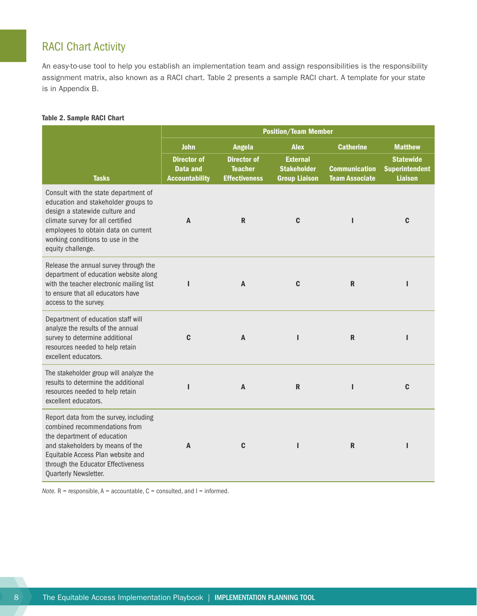### <span id="page-11-0"></span>RACI Chart Activity

An easy-to-use tool to help you establish an implementation team and assign responsibilities is the responsibility assignment matrix, also known as a RACI chart. Table 2 presents a sample RACI chart. A template for your state is in Appendix B.

#### Table 2. Sample RACI Chart

|                                                                                                                                                                                                                                                   | <b>Position/Team Member</b>                                    |                                                              |                                                               |                                               |                                                             |
|---------------------------------------------------------------------------------------------------------------------------------------------------------------------------------------------------------------------------------------------------|----------------------------------------------------------------|--------------------------------------------------------------|---------------------------------------------------------------|-----------------------------------------------|-------------------------------------------------------------|
|                                                                                                                                                                                                                                                   | <b>John</b>                                                    | <b>Angela</b>                                                | <b>Alex</b>                                                   | <b>Catherine</b>                              | <b>Matthew</b>                                              |
| <b>Tasks</b>                                                                                                                                                                                                                                      | <b>Director of</b><br><b>Data and</b><br><b>Accountability</b> | <b>Director of</b><br><b>Teacher</b><br><b>Effectiveness</b> | <b>External</b><br><b>Stakeholder</b><br><b>Group Liaison</b> | <b>Communication</b><br><b>Team Associate</b> | <b>Statewide</b><br><b>Superintendent</b><br><b>Liaison</b> |
| Consult with the state department of<br>education and stakeholder groups to<br>design a statewide culture and<br>climate survey for all certified<br>employees to obtain data on current<br>working conditions to use in the<br>equity challenge. | A                                                              | R                                                            | C                                                             | п                                             | C                                                           |
| Release the annual survey through the<br>department of education website along<br>with the teacher electronic mailing list<br>to ensure that all educators have<br>access to the survey.                                                          | L                                                              | A                                                            | C                                                             | $\mathbf R$                                   | H                                                           |
| Department of education staff will<br>analyze the results of the annual<br>survey to determine additional<br>resources needed to help retain<br>excellent educators.                                                                              | C                                                              | A                                                            | ı                                                             | $\mathbf R$                                   |                                                             |
| The stakeholder group will analyze the<br>results to determine the additional<br>resources needed to help retain<br>excellent educators.                                                                                                          | п                                                              | A                                                            | R                                                             | ı                                             | C                                                           |
| Report data from the survey, including<br>combined recommendations from<br>the department of education<br>and stakeholders by means of the<br>Equitable Access Plan website and<br>through the Educator Effectiveness<br>Quarterly Newsletter.    | A                                                              | C                                                            |                                                               | $\mathbf R$                                   | ı                                                           |

*Note.*  $R$  = responsible,  $A$  = accountable,  $C$  = consulted, and  $I$  = informed.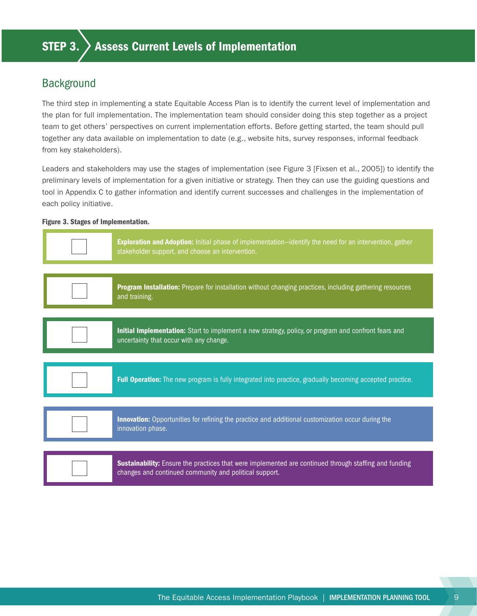### <span id="page-12-0"></span>**Background**

The third step in implementing a state Equitable Access Plan is to identify the current level of implementation and the plan for full implementation. The implementation team should consider doing this step together as a project team to get others' perspectives on current implementation efforts. Before getting started, the team should pull together any data available on implementation to date (e.g., website hits, survey responses, informal feedback from key stakeholders).

Leaders and stakeholders may use the stages of implementation (see Figure 3 [Fixsen et al., 2005]) to identify the preliminary levels of implementation for a given initiative or strategy. Then they can use the guiding questions and tool in Appendix C to gather information and identify current successes and challenges in the implementation of each policy initiative.

#### Figure 3. Stages of Implementation.

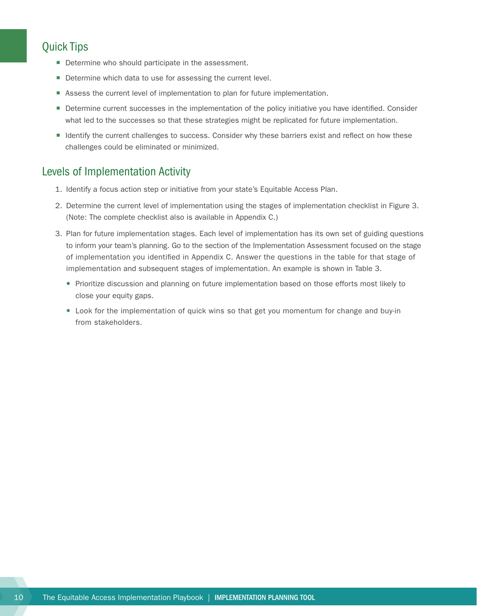### <span id="page-13-0"></span>Quick Tips

- **Determine who should participate in the assessment.**
- Determine which data to use for assessing the current level.
- **EXEL Assess the current level of implementation to plan for future implementation.**
- **Determine current successes in the implementation of the policy initiative you have identified. Consider** what led to the successes so that these strategies might be replicated for future implementation.
- Identify the current challenges to success. Consider why these barriers exist and reflect on how these challenges could be eliminated or minimized.

### Levels of Implementation Activity

- 1. Identify a focus action step or initiative from your state's Equitable Access Plan.
- 2. Determine the current level of implementation using the stages of implementation checklist in Figure 3. (Note: The complete checklist also is available in Appendix C.)
- 3. Plan for future implementation stages. Each level of implementation has its own set of guiding questions to inform your team's planning. Go to the section of the Implementation Assessment focused on the stage of implementation you identified in Appendix C. Answer the questions in the table for that stage of implementation and subsequent stages of implementation. An example is shown in Table 3.
	- Prioritize discussion and planning on future implementation based on those efforts most likely to close your equity gaps.
	- Look for the implementation of quick wins so that get you momentum for change and buy-in from stakeholders.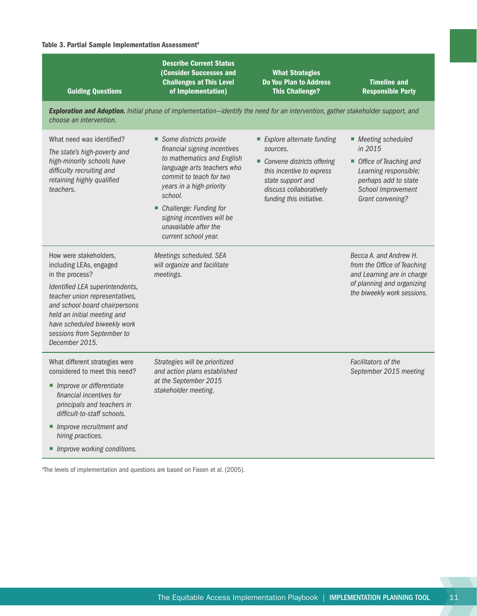#### Table 3. Partial Sample Implementation Assessment<sup>a</sup>

| <b>Guiding Questions</b>                                                                                                                                                                                                                                                                  | <b>Describe Current Status</b><br><b>(Consider Successes and</b><br><b>Challenges at This Level</b><br>of Implementation)                                                                                                                                                                       | <b>What Strategies</b><br><b>Do You Plan to Address</b><br><b>This Challenge?</b>                                                                                            | <b>Timeline and</b><br><b>Responsible Party</b>                                                                                                     |
|-------------------------------------------------------------------------------------------------------------------------------------------------------------------------------------------------------------------------------------------------------------------------------------------|-------------------------------------------------------------------------------------------------------------------------------------------------------------------------------------------------------------------------------------------------------------------------------------------------|------------------------------------------------------------------------------------------------------------------------------------------------------------------------------|-----------------------------------------------------------------------------------------------------------------------------------------------------|
| choose an intervention.                                                                                                                                                                                                                                                                   | Exploration and Adoption. Initial phase of implementation-identify the need for an intervention, gather stakeholder support, and                                                                                                                                                                |                                                                                                                                                                              |                                                                                                                                                     |
| What need was identified?<br>The state's high-poverty and<br>high-minority schools have<br>difficulty recruiting and<br>retaining highly qualified<br>teachers.                                                                                                                           | Some districts provide<br>financial signing incentives<br>to mathematics and English<br>language arts teachers who<br>commit to teach for two<br>years in a high-priority<br>school.<br>• Challenge: Funding for<br>signing incentives will be<br>unavailable after the<br>current school year. | Explore alternate funding<br>sources.<br>Convene districts offering<br>this incentive to express<br>state support and<br>discuss collaboratively<br>funding this initiative. | ■ Meeting scheduled<br>in 2015<br>Office of Teaching and<br>Learning responsible;<br>perhaps add to state<br>School Improvement<br>Grant convening? |
| How were stakeholders,<br>including LEAs, engaged<br>in the process?<br>Identified LEA superintendents,<br>teacher union representatives,<br>and school board chairpersons<br>held an initial meeting and<br>have scheduled biweekly work<br>sessions from September to<br>December 2015. | Meetings scheduled. SEA<br>will organize and facilitate<br>meetings.                                                                                                                                                                                                                            |                                                                                                                                                                              | Becca A. and Andrew H.<br>from the Office of Teaching<br>and Learning are in charge<br>of planning and organizing<br>the biweekly work sessions.    |
| What different strategies were<br>considered to meet this need?<br>Improve or differentiate<br>financial incentives for<br>principals and teachers in<br>difficult-to-staff schools.<br>Improve recruitment and<br>hiring practices.<br>Improve working conditions.                       | Strategies will be prioritized<br>and action plans established<br>at the September 2015<br>stakeholder meeting.                                                                                                                                                                                 |                                                                                                                                                                              | Facilitators of the<br>September 2015 meeting                                                                                                       |

a The levels of implementation and questions are based on Fixsen et al. (2005).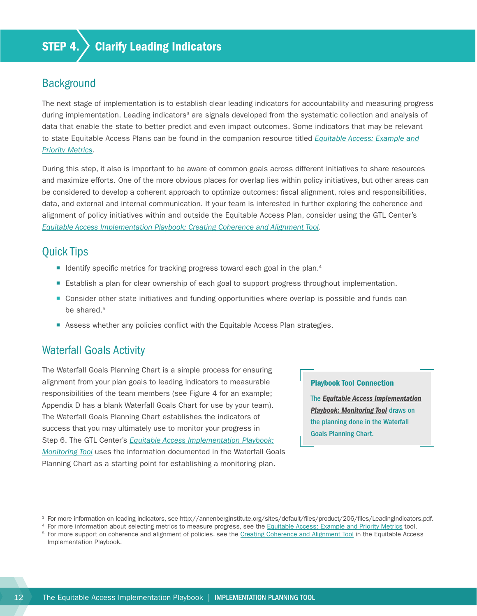### <span id="page-15-0"></span>Background

The next stage of implementation is to establish clear leading indicators for accountability and measuring progress during implementation. Leading indicators<sup>3</sup> are signals developed from the systematic collection and analysis of data that enable the state to better predict and even impact outcomes. Some indicators that may be relevant to state Equitable Access Plans can be found in the companion resource titled *[Equitable Access: Example and](http://www.gtlcenter.org/learning-hub/equitable-access-toolkit/data-review-tool) [Priority Metrics](http://www.gtlcenter.org/learning-hub/equitable-access-toolkit/data-review-tool)*.

During this step, it also is important to be aware of common goals across different initiatives to share resources and maximize efforts. One of the more obvious places for overlap lies within policy initiatives, but other areas can be considered to develop a coherent approach to optimize outcomes: fiscal alignment, roles and responsibilities, data, and external and internal communication. If your team is interested in further exploring the coherence and alignment of policy initiatives within and outside the Equitable Access Plan, consider using the GTL Center's *[Equitable Access Implementation Playbook: Creating Coherence and Alignment Tool](http://www.gtlcenter.org/sites/default/files/Coherence_Alignment_Tool.pdf).*

### Quick Tips

- $\blacksquare$  Identify specific metrics for tracking progress toward each goal in the plan.<sup>4</sup>
- **Establish a plan for clear ownership of each goal to support progress throughout implementation.**
- Consider other state initiatives and funding opportunities where overlap is possible and funds can be shared.<sup>5</sup>
- Assess whether any policies conflict with the Equitable Access Plan strategies.

### Waterfall Goals Activity

The Waterfall Goals Planning Chart is a simple process for ensuring alignment from your plan goals to leading indicators to measurable responsibilities of the team members (see Figure 4 for an example; Appendix D has a blank Waterfall Goals Chart for use by your team). The Waterfall Goals Planning Chart establishes the indicators of success that you may ultimately use to monitor your progress in Step 6. The GTL Center's *[Equitable Access Implementation Playbook:](http://www.gtlcenter.org/sites/default/files/Monitoring_Tool.pdf) [Monitoring Tool](http://www.gtlcenter.org/sites/default/files/Monitoring_Tool.pdf)* uses the information documented in the Waterfall Goals Planning Chart as a starting point for establishing a monitoring plan.

#### Playbook Tool Connection

The *[Equitable Access Implementation](http://www.gtlcenter.org/sites/default/files/Monitoring_Tool.pdf) [Playbook: Monitoring Tool](http://www.gtlcenter.org/sites/default/files/Monitoring_Tool.pdf)* draws on the planning done in the Waterfall Goals Planning Chart.

<sup>&</sup>lt;sup>3</sup> For more information on leading indicators, see<http://annenberginstitute.org/sites/default/files/product/206/files/LeadingIndicators.pdf>.

<sup>&</sup>lt;sup>4</sup> For more information about selecting metrics to measure progress, see the [Equitable Access: Example and Priority Metrics](http://www.gtlcenter.org/learning-hub/equitable-access-toolkit/data-review-tool) tool.

For more support on coherence and alignment of policies, see the [Creating Coherence and Alignment Tool](http://www.gtlcenter.org/sites/default/files/Coherence_Alignment_Tool.pdf) in the Equitable Access Implementation Playbook.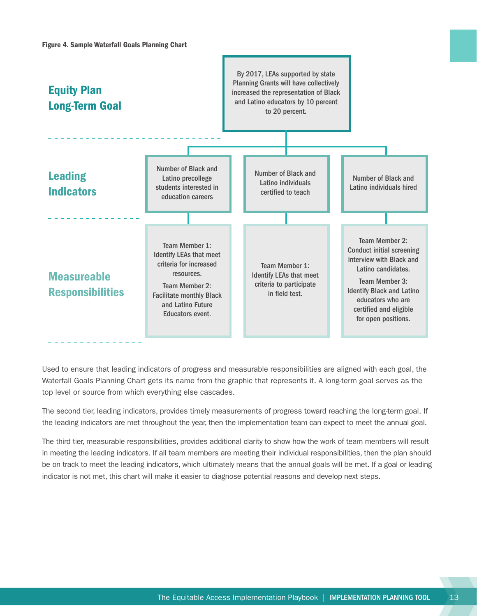

Used to ensure that leading indicators of progress and measurable responsibilities are aligned with each goal, the Waterfall Goals Planning Chart gets its name from the graphic that represents it. A long-term goal serves as the top level or source from which everything else cascades.

The second tier, leading indicators, provides timely measurements of progress toward reaching the long-term goal. If the leading indicators are met throughout the year, then the implementation team can expect to meet the annual goal.

The third tier, measurable responsibilities, provides additional clarity to show how the work of team members will result in meeting the leading indicators. If all team members are meeting their individual responsibilities, then the plan should be on track to meet the leading indicators, which ultimately means that the annual goals will be met. If a goal or leading indicator is not met, this chart will make it easier to diagnose potential reasons and develop next steps.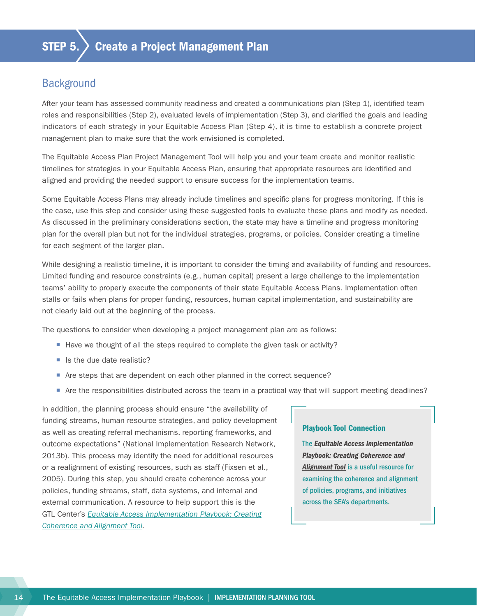### <span id="page-17-0"></span>**Background**

After your team has assessed community readiness and created a communications plan (Step 1), identified team roles and responsibilities (Step 2), evaluated levels of implementation (Step 3), and clarified the goals and leading indicators of each strategy in your Equitable Access Plan (Step 4), it is time to establish a concrete project management plan to make sure that the work envisioned is completed.

The Equitable Access Plan Project Management Tool will help you and your team create and monitor realistic timelines for strategies in your Equitable Access Plan, ensuring that appropriate resources are identified and aligned and providing the needed support to ensure success for the implementation teams.

Some Equitable Access Plans may already include timelines and specific plans for progress monitoring. If this is the case, use this step and consider using these suggested tools to evaluate these plans and modify as needed. As discussed in the preliminary considerations section, the state may have a timeline and progress monitoring plan for the overall plan but not for the individual strategies, programs, or policies. Consider creating a timeline for each segment of the larger plan.

While designing a realistic timeline, it is important to consider the timing and availability of funding and resources. Limited funding and resource constraints (e.g., human capital) present a large challenge to the implementation teams' ability to properly execute the components of their state Equitable Access Plans. Implementation often stalls or fails when plans for proper funding, resources, human capital implementation, and sustainability are not clearly laid out at the beginning of the process.

The questions to consider when developing a project management plan are as follows:

- Have we thought of all the steps required to complete the given task or activity?
- Is the due date realistic?
- Are steps that are dependent on each other planned in the correct sequence?
- Are the responsibilities distributed across the team in a practical way that will support meeting deadlines?

In addition, the planning process should ensure "the availability of funding streams, human resource strategies, and policy development as well as creating referral mechanisms, reporting frameworks, and outcome expectations" (National Implementation Research Network, 2013b). This process may identify the need for additional resources or a realignment of existing resources, such as staff (Fixsen et al., 2005). During this step, you should create coherence across your policies, funding streams, staff, data systems, and internal and external communication. A resource to help support this is the GTL Center's *[Equitable Access Implementation Playbook: Creating](http://www.gtlcenter.org/sites/default/files/Coherence_Alignment_Tool.pdf) [Coherence and Alignment Tool.](http://www.gtlcenter.org/sites/default/files/Coherence_Alignment_Tool.pdf)*

#### Playbook Tool Connection

The *[Equitable Access Implementation](http://www.gtlcenter.org/sites/default/files/Coherence_Alignment_Tool.pdf) [Playbook: Creating Coherence and](http://www.gtlcenter.org/sites/default/files/Coherence_Alignment_Tool.pdf) [Alignment Tool](http://www.gtlcenter.org/sites/default/files/Coherence_Alignment_Tool.pdf)* is a useful resource for examining the coherence and alignment of policies, programs, and initiatives across the SEA's departments.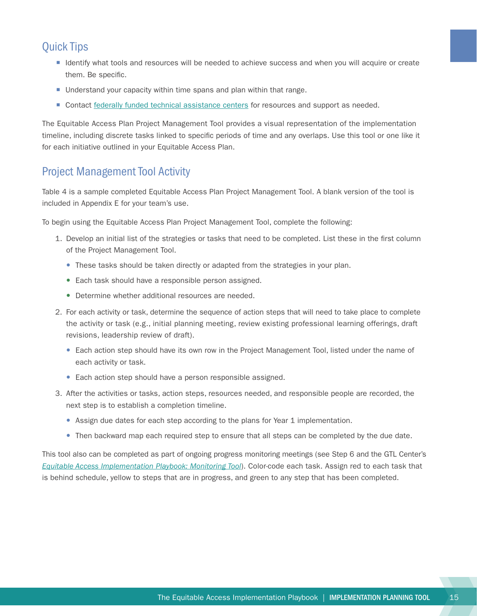### <span id="page-18-0"></span>Quick Tips

- Identify what tools and resources will be needed to achieve success and when you will acquire or create them. Be specific.
- Understand your capacity within time spans and plan within that range.
- Contact [federally funded technical assistance centers](http://www2.ed.gov/programs/newccp/index.html) for resources and support as needed.

The Equitable Access Plan Project Management Tool provides a visual representation of the implementation timeline, including discrete tasks linked to specific periods of time and any overlaps. Use this tool or one like it for each initiative outlined in your Equitable Access Plan.

### Project Management Tool Activity

Table 4 is a sample completed Equitable Access Plan Project Management Tool. A blank version of the tool is included in Appendix E for your team's use.

To begin using the Equitable Access Plan Project Management Tool, complete the following:

- 1. Develop an initial list of the strategies or tasks that need to be completed. List these in the first column of the Project Management Tool.
	- These tasks should be taken directly or adapted from the strategies in your plan.
	- Each task should have a responsible person assigned.
	- Determine whether additional resources are needed.
- 2. For each activity or task, determine the sequence of action steps that will need to take place to complete the activity or task (e.g., initial planning meeting, review existing professional learning offerings, draft revisions, leadership review of draft).
	- Each action step should have its own row in the Project Management Tool, listed under the name of each activity or task.
	- Each action step should have a person responsible assigned.
- 3. After the activities or tasks, action steps, resources needed, and responsible people are recorded, the next step is to establish a completion timeline.
	- Assign due dates for each step according to the plans for Year 1 implementation.
	- Then backward map each required step to ensure that all steps can be completed by the due date.

This tool also can be completed as part of ongoing progress monitoring meetings (see Step 6 and the GTL Center's *[Equitable Access Implementation Playbook: Monitoring Tool](http://www.gtlcenter.org/sites/default/files/Monitoring_Tool.pdf)*). Color-code each task. Assign red to each task that is behind schedule, yellow to steps that are in progress, and green to any step that has been completed.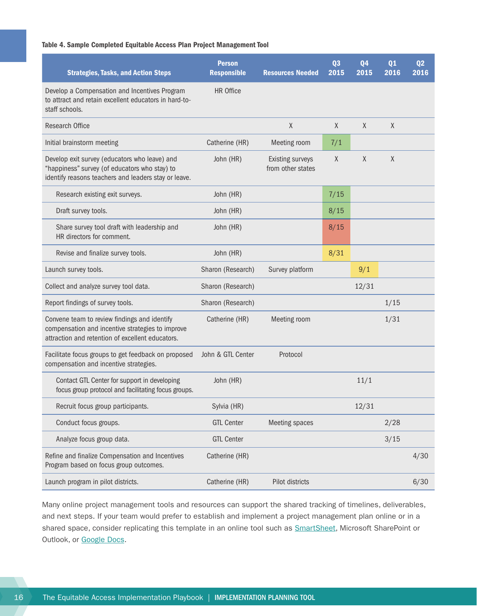#### Table 4. Sample Completed Equitable Access Plan Project Management Tool

| <b>Strategies, Tasks, and Action Steps</b>                                                                                                             | <b>Person</b><br><b>Responsible</b> | <b>Resources Needed</b>                      | Q <sub>3</sub><br>2015 | 04<br>2015 | Q <sub>1</sub><br>2016 | Q <sub>2</sub><br>2016 |
|--------------------------------------------------------------------------------------------------------------------------------------------------------|-------------------------------------|----------------------------------------------|------------------------|------------|------------------------|------------------------|
| Develop a Compensation and Incentives Program<br>to attract and retain excellent educators in hard-to-<br>staff schools.                               | HR Office                           |                                              |                        |            |                        |                        |
| <b>Research Office</b>                                                                                                                                 |                                     | X                                            | $\chi$                 | X          | $\chi$                 |                        |
| Initial brainstorm meeting                                                                                                                             | Catherine (HR)                      | Meeting room                                 | 7/1                    |            |                        |                        |
| Develop exit survey (educators who leave) and<br>"happiness" survey (of educators who stay) to<br>identify reasons teachers and leaders stay or leave. | John (HR)                           | <b>Existing surveys</b><br>from other states | X                      | X          | X                      |                        |
| Research existing exit surveys.                                                                                                                        | John (HR)                           |                                              | 7/15                   |            |                        |                        |
| Draft survey tools.                                                                                                                                    | John (HR)                           |                                              | 8/15                   |            |                        |                        |
| Share survey tool draft with leadership and<br>HR directors for comment.                                                                               | John (HR)                           |                                              | 8/15                   |            |                        |                        |
| Revise and finalize survey tools.                                                                                                                      | John (HR)                           |                                              | 8/31                   |            |                        |                        |
| Launch survey tools.                                                                                                                                   | Sharon (Research)                   | Survey platform                              |                        | 9/1        |                        |                        |
| Collect and analyze survey tool data.                                                                                                                  | Sharon (Research)                   |                                              |                        | 12/31      |                        |                        |
| Report findings of survey tools.                                                                                                                       | Sharon (Research)                   |                                              |                        |            | 1/15                   |                        |
| Convene team to review findings and identify<br>compensation and incentive strategies to improve<br>attraction and retention of excellent educators.   | Catherine (HR)                      | Meeting room                                 |                        |            | 1/31                   |                        |
| Facilitate focus groups to get feedback on proposed<br>compensation and incentive strategies.                                                          | John & GTL Center                   | Protocol                                     |                        |            |                        |                        |
| Contact GTL Center for support in developing<br>focus group protocol and facilitating focus groups.                                                    | John (HR)                           |                                              |                        | 11/1       |                        |                        |
| Recruit focus group participants.                                                                                                                      | Sylvia (HR)                         |                                              |                        | 12/31      |                        |                        |
| Conduct focus groups.                                                                                                                                  | <b>GTL Center</b>                   | <b>Meeting spaces</b>                        |                        |            | 2/28                   |                        |
| Analyze focus group data.                                                                                                                              | <b>GTL Center</b>                   |                                              |                        |            | 3/15                   |                        |
| Refine and finalize Compensation and Incentives<br>Program based on focus group outcomes.                                                              | Catherine (HR)                      |                                              |                        |            |                        | 4/30                   |
| Launch program in pilot districts.                                                                                                                     | Catherine (HR)                      | Pilot districts                              |                        |            |                        | 6/30                   |

Many online project management tools and resources can support the shared tracking of timelines, deliverables, and next steps. If your team would prefer to establish and implement a project management plan online or in a shared space, consider replicating this template in an online tool such as **SmartSheet**, Microsoft SharePoint or Outlook, or [Google Docs.](https://www.google.com/docs/about/)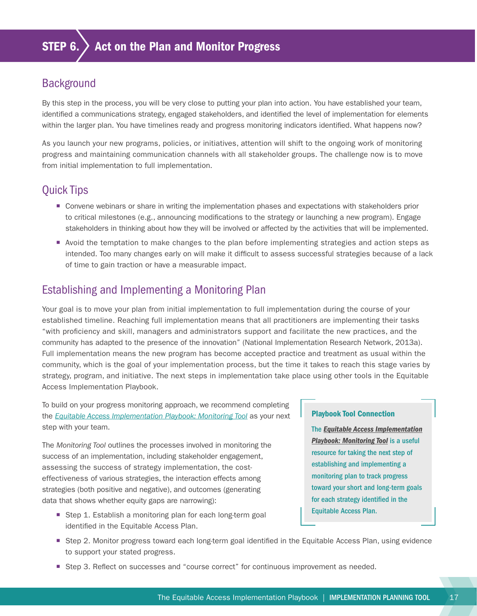### <span id="page-20-0"></span>**Background**

By this step in the process, you will be very close to putting your plan into action. You have established your team, identified a communications strategy, engaged stakeholders, and identified the level of implementation for elements within the larger plan. You have timelines ready and progress monitoring indicators identified. What happens now?

As you launch your new programs, policies, or initiatives, attention will shift to the ongoing work of monitoring progress and maintaining communication channels with all stakeholder groups. The challenge now is to move from initial implementation to full implementation.

### Quick Tips

- ¡ Convene webinars or share in writing the implementation phases and expectations with stakeholders prior to critical milestones (e.g., announcing modifications to the strategy or launching a new program). Engage stakeholders in thinking about how they will be involved or affected by the activities that will be implemented.
- ¡ Avoid the temptation to make changes to the plan before implementing strategies and action steps as intended. Too many changes early on will make it difficult to assess successful strategies because of a lack of time to gain traction or have a measurable impact.

### Establishing and Implementing a Monitoring Plan

Your goal is to move your plan from initial implementation to full implementation during the course of your established timeline. Reaching full implementation means that all practitioners are implementing their tasks "with proficiency and skill, managers and administrators support and facilitate the new practices, and the community has adapted to the presence of the innovation" (National Implementation Research Network, 2013a). Full implementation means the new program has become accepted practice and treatment as usual within the community, which is the goal of your implementation process, but the time it takes to reach this stage varies by strategy, program, and initiative. The next steps in implementation take place using other tools in the Equitable Access Implementation Playbook.

To build on your progress monitoring approach, we recommend completing the *[Equitable Access Implementation Playbook: Monitoring Tool](http://www.gtlcenter.org/sites/default/files/Monitoring_Tool.pdf)* as your next step with your team.

The *Monitoring Tool* outlines the processes involved in monitoring the success of an implementation, including stakeholder engagement, assessing the success of strategy implementation, the costeffectiveness of various strategies, the interaction effects among strategies (both positive and negative), and outcomes (generating data that shows whether equity gaps are narrowing):

■ Step 1. Establish a monitoring plan for each long-term goal identified in the Equitable Access Plan.

#### Playbook Tool Connection

The *[Equitable Access Implementation](http://www.gtlcenter.org/sites/default/files/Monitoring_Tool.pdf) [Playbook: Monitoring Tool](http://www.gtlcenter.org/sites/default/files/Monitoring_Tool.pdf)* is a useful resource for taking the next step of establishing and implementing a monitoring plan to track progress toward your short and long-term goals for each strategy identified in the Equitable Access Plan.

- Step 2. Monitor progress toward each long-term goal identified in the Equitable Access Plan, using evidence to support your stated progress.
- Step 3. Reflect on successes and "course correct" for continuous improvement as needed.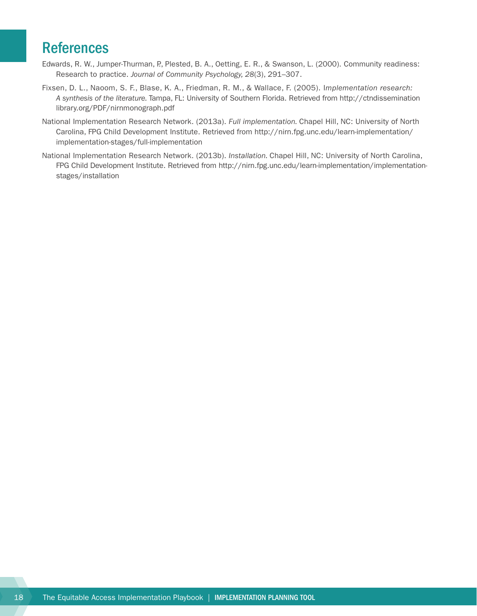## <span id="page-21-0"></span>**References**

- Edwards, R. W., Jumper-Thurman, P., Plested, B. A., Oetting, E. R., & Swanson, L. (2000). Community readiness: Research to practice. *Journal of Community Psychology, 28*(3), 291–307.
- Fixsen, D. L., Naoom, S. F., Blase, K. A., Friedman, R. M., & Wallace, F. (2005). I*mplementation research: A synthesis of the literature.* Tampa, FL: University of Southern Florida. Retrieved from [http://ctndissemination](http://ctndisseminationlibrary.org/PDF/nirnmonograph.pdf) [library.org/PDF/nirnmonograph.pdf](http://ctndisseminationlibrary.org/PDF/nirnmonograph.pdf)
- National Implementation Research Network. (2013a). *Full implementation.* Chapel Hill, NC: University of North Carolina, FPG Child Development Institute. Retrieved from [http://nirn.fpg.unc.edu/learn-implementation/](http://nirn.fpg.unc.edu/learn-implementation/implementation-stages/full-implementation) [implementation-stages/full-implementation](http://nirn.fpg.unc.edu/learn-implementation/implementation-stages/full-implementation)
- National Implementation Research Network. (2013b). *Installation.* Chapel Hill, NC: University of North Carolina, FPG Child Development Institute. Retrieved from [http://nirn.fpg.unc.edu/learn-implementation/implementation](http://nirn.fpg.unc.edu/learn-implementation/implementation-stages/installation)[stages/installation](http://nirn.fpg.unc.edu/learn-implementation/implementation-stages/installation)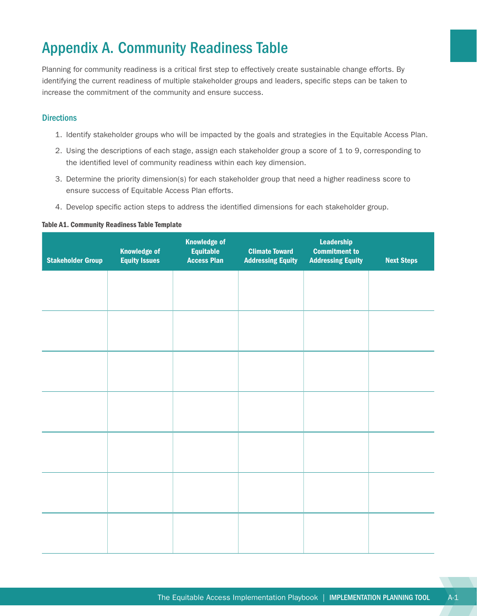# <span id="page-22-0"></span>Appendix A. Community Readiness Table

Planning for community readiness is a critical first step to effectively create sustainable change efforts. By identifying the current readiness of multiple stakeholder groups and leaders, specific steps can be taken to increase the commitment of the community and ensure success.

#### **Directions**

- 1. Identify stakeholder groups who will be impacted by the goals and strategies in the Equitable Access Plan.
- 2. Using the descriptions of each stage, assign each stakeholder group a score of 1 to 9, corresponding to the identified level of community readiness within each key dimension.
- 3. Determine the priority dimension(s) for each stakeholder group that need a higher readiness score to ensure success of Equitable Access Plan efforts.
- 4. Develop specific action steps to address the identified dimensions for each stakeholder group.

#### Table A1. Community Readiness Table Template

| <b>Stakeholder Group</b> | <b>Knowledge of</b><br><b>Equity Issues</b> | <b>Knowledge of</b><br><b>Equitable</b><br><b>Access Plan</b> | <b>Climate Toward</b><br><b>Addressing Equity</b> | <b>Leadership</b><br><b>Commitment to</b><br><b>Addressing Equity</b> | <b>Next Steps</b> |
|--------------------------|---------------------------------------------|---------------------------------------------------------------|---------------------------------------------------|-----------------------------------------------------------------------|-------------------|
|                          |                                             |                                                               |                                                   |                                                                       |                   |
|                          |                                             |                                                               |                                                   |                                                                       |                   |
|                          |                                             |                                                               |                                                   |                                                                       |                   |
|                          |                                             |                                                               |                                                   |                                                                       |                   |
|                          |                                             |                                                               |                                                   |                                                                       |                   |
|                          |                                             |                                                               |                                                   |                                                                       |                   |
|                          |                                             |                                                               |                                                   |                                                                       |                   |
|                          |                                             |                                                               |                                                   |                                                                       |                   |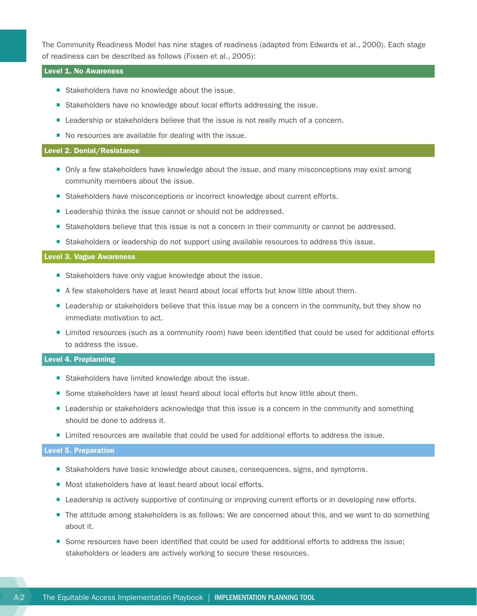The Community Readiness Model has nine stages of readiness (adapted from Edwards et al., 2000). Each stage of readiness can be described as follows (Fixsen et al., 2005):

#### Level 1. No Awareness

- **Stakeholders have no knowledge about the issue.**
- Stakeholders have no knowledge about local efforts addressing the issue.
- **E** Leadership or stakeholders believe that the issue is not really much of a concern.
- No resources are available for dealing with the issue.

#### Level 2. Denial/Resistance

- Only a few stakeholders have knowledge about the issue, and many misconceptions may exist among community members about the issue.
- **EXTENDED Stakeholders have misconceptions or incorrect knowledge about current efforts.**
- Leadership thinks the issue cannot or should not be addressed.
- Stakeholders believe that this issue is not a concern in their community or cannot be addressed.
- **Example 1** Stakeholders or leadership do not support using available resources to address this issue.

#### Level 3. Vague Awareness

- **Stakeholders have only vague knowledge about the issue.**
- A few stakeholders have at least heard about local efforts but know little about them.
- **E** Leadership or stakeholders believe that this issue may be a concern in the community, but they show no immediate motivation to act.
- ¡ Limited resources (such as a community room) have been identified that could be used for additional efforts to address the issue.

#### Level 4. Preplanning

- Stakeholders have limited knowledge about the issue.
- Some stakeholders have at least heard about local efforts but know little about them.
- **EXECTE Leadership or stakeholders acknowledge that this issue is a concern in the community and something** should be done to address it.
- Limited resources are available that could be used for additional efforts to address the issue.

#### Level 5. Preparation

- **Stakeholders have basic knowledge about causes, consequences, signs, and symptoms.**
- Most stakeholders have at least heard about local efforts.
- **EXECTEDERIST Leadership is actively supportive of continuing or improving current efforts or in developing new efforts.**
- The attitude among stakeholders is as follows: We are concerned about this, and we want to do something about it.
- Some resources have been identified that could be used for additional efforts to address the issue; stakeholders or leaders are actively working to secure these resources.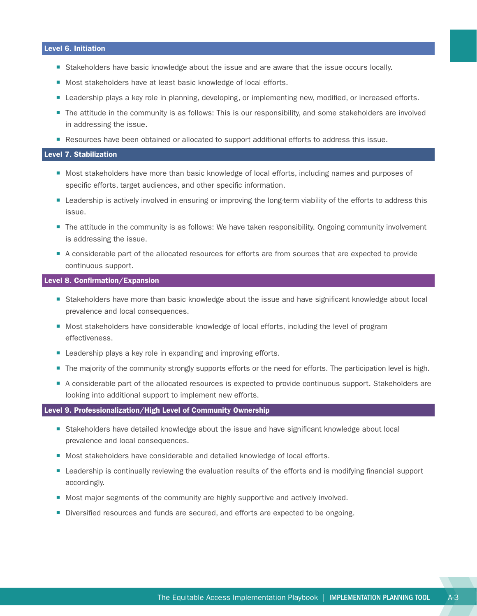#### Level 6. Initiation

- **Example 1** Stakeholders have basic knowledge about the issue and are aware that the issue occurs locally.
- Most stakeholders have at least basic knowledge of local efforts.
- **E** Leadership plays a key role in planning, developing, or implementing new, modified, or increased efforts.
- The attitude in the community is as follows: This is our responsibility, and some stakeholders are involved in addressing the issue.
- Resources have been obtained or allocated to support additional efforts to address this issue.

#### Level 7. Stabilization

- Most stakeholders have more than basic knowledge of local efforts, including names and purposes of specific efforts, target audiences, and other specific information.
- **EXECT LEADERTHIP IS ACTIVELY** involved in ensuring or improving the long-term viability of the efforts to address this issue.
- The attitude in the community is as follows: We have taken responsibility. Ongoing community involvement is addressing the issue.
- ¡ A considerable part of the allocated resources for efforts are from sources that are expected to provide continuous support.

#### Level 8. Confirmation/Expansion

- Stakeholders have more than basic knowledge about the issue and have significant knowledge about local prevalence and local consequences.
- Most stakeholders have considerable knowledge of local efforts, including the level of program effectiveness.
- Leadership plays a key role in expanding and improving efforts.
- The majority of the community strongly supports efforts or the need for efforts. The participation level is high.
- ¡ A considerable part of the allocated resources is expected to provide continuous support. Stakeholders are looking into additional support to implement new efforts.

#### Level 9. Professionalization/High Level of Community Ownership

- **Example 1** Stakeholders have detailed knowledge about the issue and have significant knowledge about local prevalence and local consequences.
- Most stakeholders have considerable and detailed knowledge of local efforts.
- **EXTE ADDER IS CONTIMUM** Leadership is continually reviewing the evaluation results of the efforts and is modifying financial support accordingly.
- Most major segments of the community are highly supportive and actively involved.
- **Diversified resources and funds are secured, and efforts are expected to be ongoing.**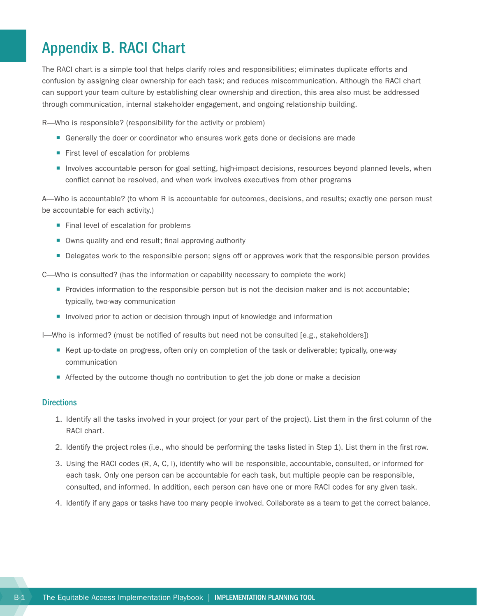# <span id="page-25-0"></span>Appendix B. RACI Chart

The RACI chart is a simple tool that helps clarify roles and responsibilities; eliminates duplicate efforts and confusion by assigning clear ownership for each task; and reduces miscommunication. Although the RACI chart can support your team culture by establishing clear ownership and direction, this area also must be addressed through communication, internal stakeholder engagement, and ongoing relationship building.

R—Who is responsible? (responsibility for the activity or problem)

- **Generally the doer or coordinator who ensures work gets done or decisions are made**
- First level of escalation for problems
- Involves accountable person for goal setting, high-impact decisions, resources beyond planned levels, when conflict cannot be resolved, and when work involves executives from other programs

A—Who is accountable? (to whom R is accountable for outcomes, decisions, and results; exactly one person must be accountable for each activity.)

- Final level of escalation for problems
- Owns quality and end result; final approving authority
- **Delegates work to the responsible person; signs off or approves work that the responsible person provides**

C—Who is consulted? (has the information or capability necessary to complete the work)

- ¡ Provides information to the responsible person but is not the decision maker and is not accountable; typically, two-way communication
- **Involved prior to action or decision through input of knowledge and information**

I—Who is informed? (must be notified of results but need not be consulted [e.g., stakeholders])

- Kept up-to-date on progress, often only on completion of the task or deliverable; typically, one-way communication
- Affected by the outcome though no contribution to get the job done or make a decision

#### **Directions**

- 1. Identify all the tasks involved in your project (or your part of the project). List them in the first column of the RACI chart.
- 2. Identify the project roles (i.e., who should be performing the tasks listed in Step 1). List them in the first row.
- 3. Using the RACI codes (R, A, C, I), identify who will be responsible, accountable, consulted, or informed for each task. Only one person can be accountable for each task, but multiple people can be responsible, consulted, and informed. In addition, each person can have one or more RACI codes for any given task.
- 4. Identify if any gaps or tasks have too many people involved. Collaborate as a team to get the correct balance.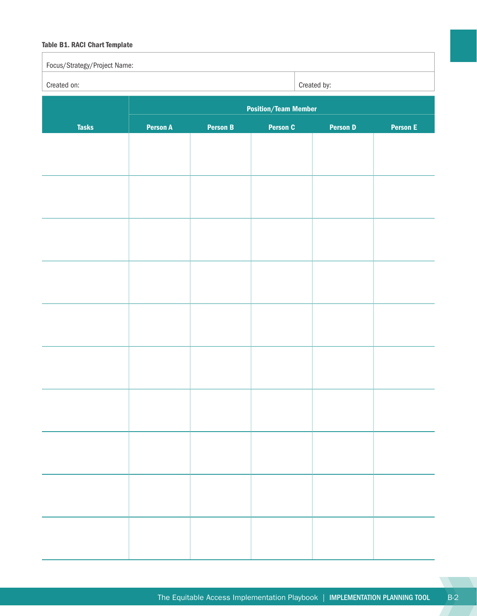#### Table B1. RACI Chart Template

| Focus/Strategy/Project Name: |                 |                 |                             |                 |                 |
|------------------------------|-----------------|-----------------|-----------------------------|-----------------|-----------------|
| Created on:                  |                 |                 |                             | Created by:     |                 |
|                              |                 |                 | <b>Position/Team Member</b> |                 |                 |
| <b>Tasks</b>                 | <b>Person A</b> | <b>Person B</b> | <b>Person C</b>             | <b>Person D</b> | <b>Person E</b> |
|                              |                 |                 |                             |                 |                 |
|                              |                 |                 |                             |                 |                 |
|                              |                 |                 |                             |                 |                 |
|                              |                 |                 |                             |                 |                 |
|                              |                 |                 |                             |                 |                 |
|                              |                 |                 |                             |                 |                 |
|                              |                 |                 |                             |                 |                 |
|                              |                 |                 |                             |                 |                 |
|                              |                 |                 |                             |                 |                 |
|                              |                 |                 |                             |                 |                 |
|                              |                 |                 |                             |                 |                 |
|                              |                 |                 |                             |                 |                 |
|                              |                 |                 |                             |                 |                 |
|                              |                 |                 |                             |                 |                 |
|                              |                 |                 |                             |                 |                 |
|                              |                 |                 |                             |                 |                 |
|                              |                 |                 |                             |                 |                 |
|                              |                 |                 |                             |                 |                 |
|                              |                 |                 |                             |                 |                 |
|                              |                 |                 |                             |                 |                 |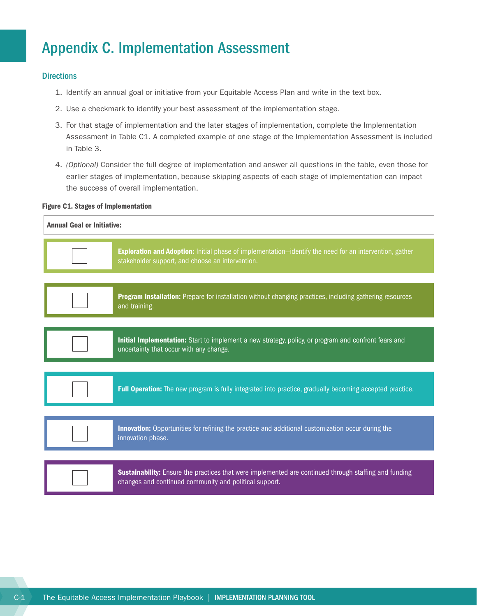# <span id="page-27-0"></span>Appendix C. Implementation Assessment

#### **Directions**

- 1. Identify an annual goal or initiative from your Equitable Access Plan and write in the text box.
- 2. Use a checkmark to identify your best assessment of the implementation stage.
- 3. For that stage of implementation and the later stages of implementation, complete the Implementation Assessment in Table C1. A completed example of one stage of the Implementation Assessment is included in Table 3.
- 4. *(Optional)* Consider the full degree of implementation and answer all questions in the table, even those for earlier stages of implementation, because skipping aspects of each stage of implementation can impact the success of overall implementation.

#### Figure C1. Stages of Implementation

| <b>Annual Goal or Initiative:</b>                                                                                                                                      |  |  |  |  |  |  |
|------------------------------------------------------------------------------------------------------------------------------------------------------------------------|--|--|--|--|--|--|
| Exploration and Adoption: Initial phase of implementation-identify the need for an intervention, gather<br>stakeholder support, and choose an intervention.            |  |  |  |  |  |  |
| Program Installation: Prepare for installation without changing practices, including gathering resources<br>and training.                                              |  |  |  |  |  |  |
| Initial Implementation: Start to implement a new strategy, policy, or program and confront fears and<br>uncertainty that occur with any change.                        |  |  |  |  |  |  |
| Full Operation: The new program is fully integrated into practice, gradually becoming accepted practice.                                                               |  |  |  |  |  |  |
| Innovation: Opportunities for refining the practice and additional customization occur during the<br>innovation phase.                                                 |  |  |  |  |  |  |
| <b>Sustainability:</b> Ensure the practices that were implemented are continued through staffing and funding<br>changes and continued community and political support. |  |  |  |  |  |  |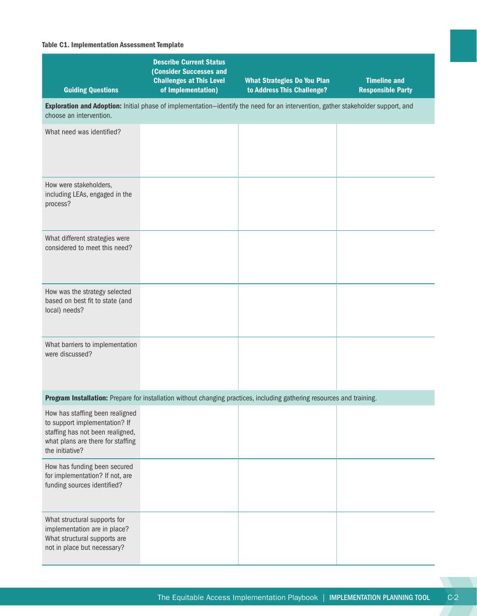#### Table C1. Implementation Assessment Template

| <b>Guiding Questions</b>                                                                                                                                     | <b>Describe Current Status</b><br><b>(Consider Successes and</b><br><b>Challenges at This Level</b><br>of Implementation)        | <b>What Strategies Do You Plan</b><br>to Address This Challenge? | <b>Timeline and</b><br><b>Responsible Party</b> |
|--------------------------------------------------------------------------------------------------------------------------------------------------------------|----------------------------------------------------------------------------------------------------------------------------------|------------------------------------------------------------------|-------------------------------------------------|
| choose an intervention.                                                                                                                                      | Exploration and Adoption: Initial phase of implementation-identify the need for an intervention, gather stakeholder support, and |                                                                  |                                                 |
| What need was identified?                                                                                                                                    |                                                                                                                                  |                                                                  |                                                 |
| How were stakeholders,<br>including LEAs, engaged in the<br>process?                                                                                         |                                                                                                                                  |                                                                  |                                                 |
| What different strategies were<br>considered to meet this need?                                                                                              |                                                                                                                                  |                                                                  |                                                 |
| How was the strategy selected<br>based on best fit to state (and<br>local) needs?                                                                            |                                                                                                                                  |                                                                  |                                                 |
| What barriers to implementation<br>were discussed?                                                                                                           |                                                                                                                                  |                                                                  |                                                 |
|                                                                                                                                                              | Program Installation: Prepare for installation without changing practices, including gathering resources and training.           |                                                                  |                                                 |
| How has staffing been realigned<br>to support implementation? If<br>staffing has not been realigned,<br>what plans are there for staffing<br>the initiative? |                                                                                                                                  |                                                                  |                                                 |
| How has funding been secured<br>for implementation? If not, are<br>funding sources identified?                                                               |                                                                                                                                  |                                                                  |                                                 |
| What structural supports for<br>implementation are in place?<br>What structural supports are<br>not in place but necessary?                                  |                                                                                                                                  |                                                                  |                                                 |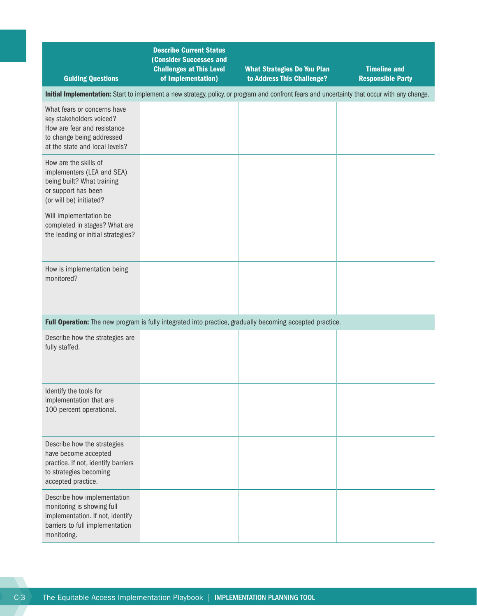| <b>Guiding Questions</b>                                                                                                                              | <b>Describe Current Status</b><br><b>(Consider Successes and</b><br><b>Challenges at This Level</b><br>of Implementation) | <b>What Strategies Do You Plan</b><br>to Address This Challenge?                                         | <b>Timeline and</b><br><b>Responsible Party</b> |  |  |  |  |  |
|-------------------------------------------------------------------------------------------------------------------------------------------------------|---------------------------------------------------------------------------------------------------------------------------|----------------------------------------------------------------------------------------------------------|-------------------------------------------------|--|--|--|--|--|
| Initial Implementation: Start to implement a new strategy, policy, or program and confront fears and uncertainty that occur with any change.          |                                                                                                                           |                                                                                                          |                                                 |  |  |  |  |  |
| What fears or concerns have<br>key stakeholders voiced?<br>How are fear and resistance<br>to change being addressed<br>at the state and local levels? |                                                                                                                           |                                                                                                          |                                                 |  |  |  |  |  |
| How are the skills of<br>implementers (LEA and SEA)<br>being built? What training<br>or support has been<br>(or will be) initiated?                   |                                                                                                                           |                                                                                                          |                                                 |  |  |  |  |  |
| Will implementation be<br>completed in stages? What are<br>the leading or initial strategies?                                                         |                                                                                                                           |                                                                                                          |                                                 |  |  |  |  |  |
| How is implementation being<br>monitored?                                                                                                             |                                                                                                                           |                                                                                                          |                                                 |  |  |  |  |  |
|                                                                                                                                                       |                                                                                                                           | Full Operation: The new program is fully integrated into practice, gradually becoming accepted practice. |                                                 |  |  |  |  |  |
| Describe how the strategies are<br>fully staffed.                                                                                                     |                                                                                                                           |                                                                                                          |                                                 |  |  |  |  |  |
| Identify the tools for<br>implementation that are<br>100 percent operational.                                                                         |                                                                                                                           |                                                                                                          |                                                 |  |  |  |  |  |
| Describe how the strategies<br>have become accepted<br>practice. If not, identify barriers<br>to strategies becoming<br>accepted practice.            |                                                                                                                           |                                                                                                          |                                                 |  |  |  |  |  |
| Describe how implementation<br>monitoring is showing full<br>implementation. If not, identify<br>barriers to full implementation<br>monitoring.       |                                                                                                                           |                                                                                                          |                                                 |  |  |  |  |  |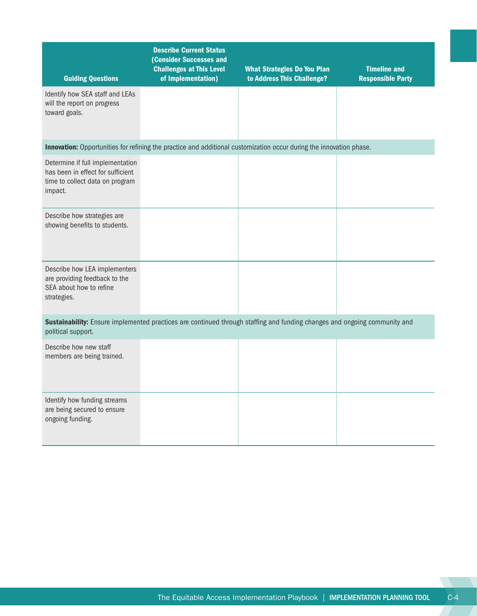| <b>Guiding Questions</b>                                                                                            | <b>Describe Current Status</b><br><b>(Consider Successes and</b><br><b>Challenges at This Level</b><br>of Implementation) | <b>What Strategies Do You Plan</b><br>to Address This Challenge? | <b>Timeline and</b><br><b>Responsible Party</b> |
|---------------------------------------------------------------------------------------------------------------------|---------------------------------------------------------------------------------------------------------------------------|------------------------------------------------------------------|-------------------------------------------------|
| Identify how SEA staff and LEAs<br>will the report on progress<br>toward goals.                                     |                                                                                                                           |                                                                  |                                                 |
|                                                                                                                     | Innovation: Opportunities for refining the practice and additional customization occur during the innovation phase.       |                                                                  |                                                 |
| Determine if full implementation<br>has been in effect for sufficient<br>time to collect data on program<br>impact. |                                                                                                                           |                                                                  |                                                 |
| Describe how strategies are<br>showing benefits to students.                                                        |                                                                                                                           |                                                                  |                                                 |
| Describe how LEA implementers<br>are providing feedback to the<br>SEA about how to refine<br>strategies.            |                                                                                                                           |                                                                  |                                                 |
| political support.                                                                                                  | Sustainability: Ensure implemented practices are continued through staffing and funding changes and ongoing community and |                                                                  |                                                 |
| Describe how new staff<br>members are being trained.                                                                |                                                                                                                           |                                                                  |                                                 |
| Identify how funding streams<br>are being secured to ensure<br>ongoing funding.                                     |                                                                                                                           |                                                                  |                                                 |

**TELEVISION**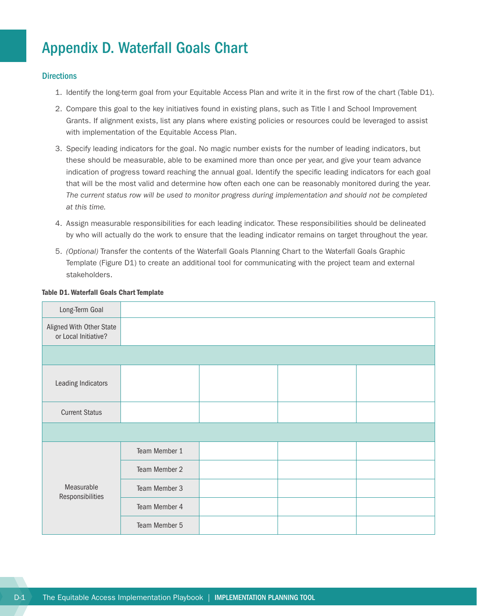# <span id="page-31-0"></span>Appendix D. Waterfall Goals Chart

#### **Directions**

- 1. Identify the long-term goal from your Equitable Access Plan and write it in the first row of the chart (Table D1).
- 2. Compare this goal to the key initiatives found in existing plans, such as Title I and School Improvement Grants. If alignment exists, list any plans where existing policies or resources could be leveraged to assist with implementation of the Equitable Access Plan.
- 3. Specify leading indicators for the goal. No magic number exists for the number of leading indicators, but these should be measurable, able to be examined more than once per year, and give your team advance indication of progress toward reaching the annual goal. Identify the specific leading indicators for each goal that will be the most valid and determine how often each one can be reasonably monitored during the year. *The current status row will be used to monitor progress during implementation and should not be completed at this time.*
- 4. Assign measurable responsibilities for each leading indicator. These responsibilities should be delineated by who will actually do the work to ensure that the leading indicator remains on target throughout the year.
- 5. *(Optional)* Transfer the contents of the Waterfall Goals Planning Chart to the Waterfall Goals Graphic Template (Figure D1) to create an additional tool for communicating with the project team and external stakeholders.

| Long-Term Goal                                   |               |  |  |
|--------------------------------------------------|---------------|--|--|
| Aligned With Other State<br>or Local Initiative? |               |  |  |
|                                                  |               |  |  |
| Leading Indicators                               |               |  |  |
| <b>Current Status</b>                            |               |  |  |
|                                                  |               |  |  |
| Measurable<br>Responsibilities                   | Team Member 1 |  |  |
|                                                  | Team Member 2 |  |  |
|                                                  | Team Member 3 |  |  |
|                                                  | Team Member 4 |  |  |
|                                                  | Team Member 5 |  |  |

#### Table D1. Waterfall Goals Chart Template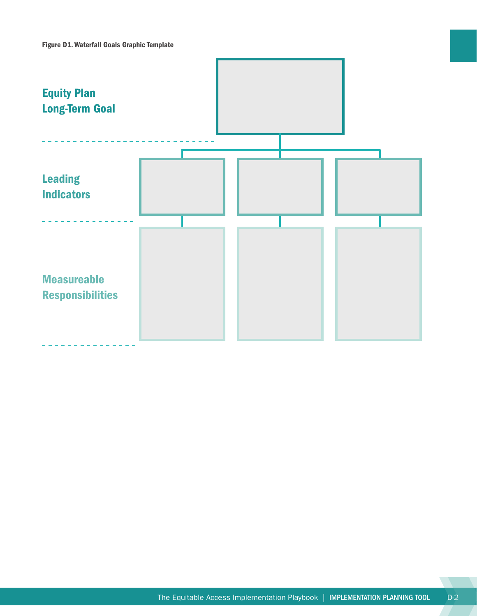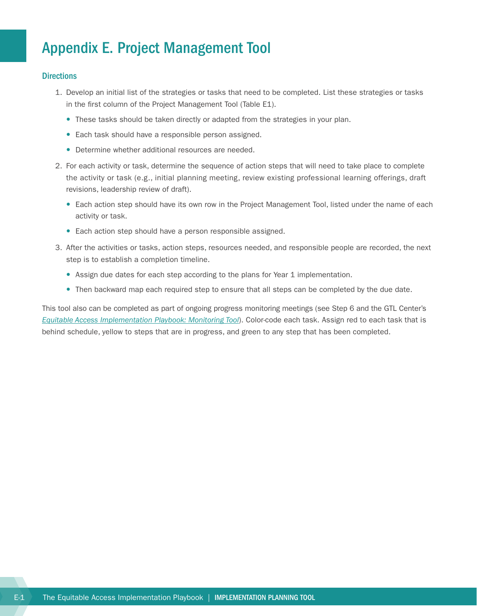# <span id="page-33-0"></span>Appendix E. Project Management Tool

#### **Directions**

- 1. Develop an initial list of the strategies or tasks that need to be completed. List these strategies or tasks in the first column of the Project Management Tool (Table E1).
	- These tasks should be taken directly or adapted from the strategies in your plan.
	- Each task should have a responsible person assigned.
	- Determine whether additional resources are needed.
- 2. For each activity or task, determine the sequence of action steps that will need to take place to complete the activity or task (e.g., initial planning meeting, review existing professional learning offerings, draft revisions, leadership review of draft).
	- Each action step should have its own row in the Project Management Tool, listed under the name of each activity or task.
	- Each action step should have a person responsible assigned.
- 3. After the activities or tasks, action steps, resources needed, and responsible people are recorded, the next step is to establish a completion timeline.
	- Assign due dates for each step according to the plans for Year 1 implementation.
	- Then backward map each required step to ensure that all steps can be completed by the due date.

This tool also can be completed as part of ongoing progress monitoring meetings (see Step 6 and the GTL Center's *[Equitable Access Implementation Playbook: Monitoring Tool](http://www.gtlcenter.org/sites/default/files/Monitoring_Tool.pdf)*). Color-code each task. Assign red to each task that is behind schedule, yellow to steps that are in progress, and green to any step that has been completed.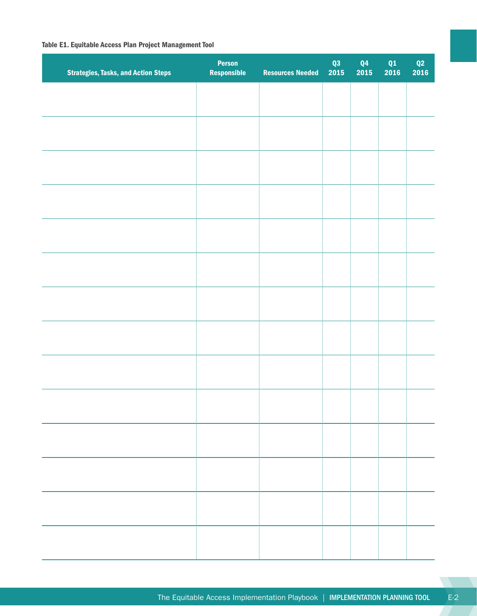#### Table E1. Equitable Access Plan Project Management Tool

| <b>Strategies, Tasks, and Action Steps</b> | <b>Person</b><br>Responsible | <b>Resources Needed</b> | Q3<br>2015 | Q4<br>2015 | $\frac{\mathbf{Q1}}{2016}$ | $\frac{\mathbf{Q2}}{\mathbf{2016}}$ |
|--------------------------------------------|------------------------------|-------------------------|------------|------------|----------------------------|-------------------------------------|
|                                            |                              |                         |            |            |                            |                                     |
|                                            |                              |                         |            |            |                            |                                     |
|                                            |                              |                         |            |            |                            |                                     |
|                                            |                              |                         |            |            |                            |                                     |
|                                            |                              |                         |            |            |                            |                                     |
|                                            |                              |                         |            |            |                            |                                     |
|                                            |                              |                         |            |            |                            |                                     |
|                                            |                              |                         |            |            |                            |                                     |
|                                            |                              |                         |            |            |                            |                                     |
|                                            |                              |                         |            |            |                            |                                     |
|                                            |                              |                         |            |            |                            |                                     |
|                                            |                              |                         |            |            |                            |                                     |
|                                            |                              |                         |            |            |                            |                                     |
|                                            |                              |                         |            |            |                            |                                     |
|                                            |                              |                         |            |            |                            |                                     |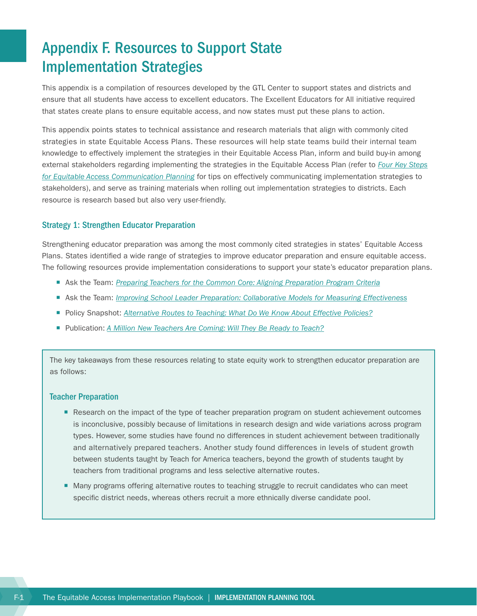# <span id="page-35-0"></span>Appendix F. Resources to Support State Implementation Strategies

This appendix is a compilation of resources developed by the GTL Center to support states and districts and ensure that all students have access to excellent educators. The Excellent Educators for All initiative required that states create plans to ensure equitable access, and now states must put these plans to action.

This appendix points states to technical assistance and research materials that align with commonly cited strategies in state Equitable Access Plans. These resources will help state teams build their internal team knowledge to effectively implement the strategies in their Equitable Access Plan, inform and build buy-in among external stakeholders regarding implementing the strategies in the Equitable Access Plan (refer to *[Four Key Steps](http://www.gtlcenter.org/learning-hub/equitable-access-toolkit/stakeholder-engagement-guide) [for Equitable Access Communication Planning](http://www.gtlcenter.org/learning-hub/equitable-access-toolkit/stakeholder-engagement-guide)* for tips on effectively communicating implementation strategies to stakeholders), and serve as training materials when rolling out implementation strategies to districts. Each resource is research based but also very user-friendly.

#### Strategy 1: Strengthen Educator Preparation

Strengthening educator preparation was among the most commonly cited strategies in states' Equitable Access Plans. States identified a wide range of strategies to improve educator preparation and ensure equitable access. The following resources provide implementation considerations to support your state's educator preparation plans.

- **EXECT Ask the Team:** *[Preparing Teachers for the Common Core: Aligning Preparation Program Criteria](http://www.gtlcenter.org/sites/default/files/Teacher_Preparation_Common_Core.pdf)*
- Ask the Team: *[Improving School Leader Preparation: Collaborative Models for Measuring Effectiveness](http://www.gtlcenter.org/sites/default/files/Principal_Preparation.pdf)*
- ¡ Policy Snapshot: *[Alternative Routes to Teaching: What Do We Know About Effective Policies?](http://www.gtlcenter.org/sites/default/files/AltCert_Snapshot.pdf)*
- Publication: *[A Million New Teachers Are Coming: Will They Be Ready to Teach?](http://educationpolicy.air.org/sites/default/files/Brief-MillionNewTeachers.pdf)*

The key takeaways from these resources relating to state equity work to strengthen educator preparation are as follows:

#### Teacher Preparation

- Research on the impact of the type of teacher preparation program on student achievement outcomes is inconclusive, possibly because of limitations in research design and wide variations across program types. However, some studies have found no differences in student achievement between traditionally and alternatively prepared teachers. Another study found differences in levels of student growth between students taught by Teach for America teachers, beyond the growth of students taught by teachers from traditional programs and less selective alternative routes.
- Many programs offering alternative routes to teaching struggle to recruit candidates who can meet specific district needs, whereas others recruit a more ethnically diverse candidate pool.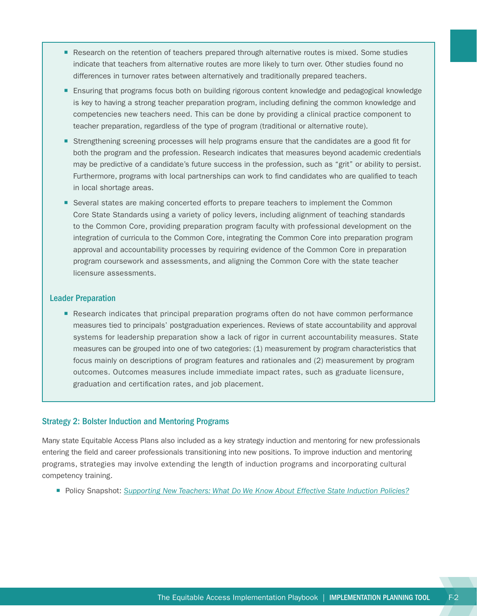- Research on the retention of teachers prepared through alternative routes is mixed. Some studies indicate that teachers from alternative routes are more likely to turn over. Other studies found no differences in turnover rates between alternatively and traditionally prepared teachers.
- Ensuring that programs focus both on building rigorous content knowledge and pedagogical knowledge is key to having a strong teacher preparation program, including defining the common knowledge and competencies new teachers need. This can be done by providing a clinical practice component to teacher preparation, regardless of the type of program (traditional or alternative route).
- ¡ Strengthening screening processes will help programs ensure that the candidates are a good fit for both the program and the profession. Research indicates that measures beyond academic credentials may be predictive of a candidate's future success in the profession, such as "grit" or ability to persist. Furthermore, programs with local partnerships can work to find candidates who are qualified to teach in local shortage areas.
- Several states are making concerted efforts to prepare teachers to implement the Common Core State Standards using a variety of policy levers, including alignment of teaching standards to the Common Core, providing preparation program faculty with professional development on the integration of curricula to the Common Core, integrating the Common Core into preparation program approval and accountability processes by requiring evidence of the Common Core in preparation program coursework and assessments, and aligning the Common Core with the state teacher licensure assessments.

#### Leader Preparation

■ Research indicates that principal preparation programs often do not have common performance measures tied to principals' postgraduation experiences. Reviews of state accountability and approval systems for leadership preparation show a lack of rigor in current accountability measures. State measures can be grouped into one of two categories: (1) measurement by program characteristics that focus mainly on descriptions of program features and rationales and (2) measurement by program outcomes. Outcomes measures include immediate impact rates, such as graduate licensure, graduation and certification rates, and job placement.

#### Strategy 2: Bolster Induction and Mentoring Programs

Many state Equitable Access Plans also included as a key strategy induction and mentoring for new professionals entering the field and career professionals transitioning into new positions. To improve induction and mentoring programs, strategies may involve extending the length of induction programs and incorporating cultural competency training.

■ Policy Snapshot: [Supporting New Teachers: What Do We Know About Effective State Induction Policies?](http://www.gtlcenter.org/sites/default/files/Induction_Snapshot.pdf)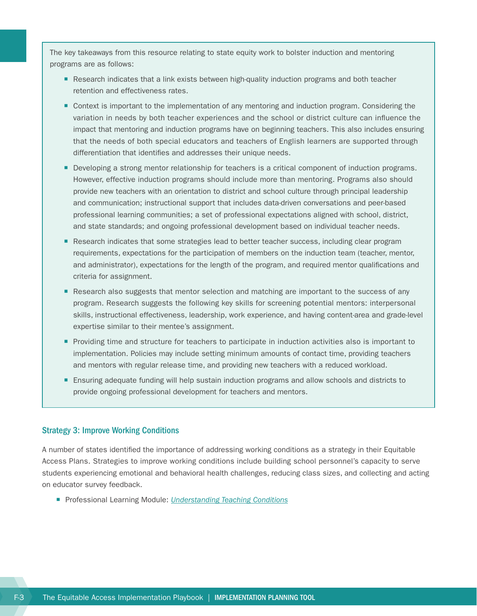The key takeaways from this resource relating to state equity work to bolster induction and mentoring programs are as follows:

- Research indicates that a link exists between high-quality induction programs and both teacher retention and effectiveness rates.
- Context is important to the implementation of any mentoring and induction program. Considering the variation in needs by both teacher experiences and the school or district culture can influence the impact that mentoring and induction programs have on beginning teachers. This also includes ensuring that the needs of both special educators and teachers of English learners are supported through differentiation that identifies and addresses their unique needs.
- Developing a strong mentor relationship for teachers is a critical component of induction programs. However, effective induction programs should include more than mentoring. Programs also should provide new teachers with an orientation to district and school culture through principal leadership and communication; instructional support that includes data-driven conversations and peer-based professional learning communities; a set of professional expectations aligned with school, district, and state standards; and ongoing professional development based on individual teacher needs.
- Research indicates that some strategies lead to better teacher success, including clear program requirements, expectations for the participation of members on the induction team (teacher, mentor, and administrator), expectations for the length of the program, and required mentor qualifications and criteria for assignment.
- Research also suggests that mentor selection and matching are important to the success of any program. Research suggests the following key skills for screening potential mentors: interpersonal skills, instructional effectiveness, leadership, work experience, and having content-area and grade-level expertise similar to their mentee's assignment.
- ¡ Providing time and structure for teachers to participate in induction activities also is important to implementation. Policies may include setting minimum amounts of contact time, providing teachers and mentors with regular release time, and providing new teachers with a reduced workload.
- **Ensuring adequate funding will help sustain induction programs and allow schools and districts to** provide ongoing professional development for teachers and mentors.

#### Strategy 3: Improve Working Conditions

A number of states identified the importance of addressing working conditions as a strategy in their Equitable Access Plans. Strategies to improve working conditions include building school personnel's capacity to serve students experiencing emotional and behavioral health challenges, reducing class sizes, and collecting and acting on educator survey feedback.

■ Professional Learning Module: *[Understanding Teaching Conditions](http://www.gtlcenter.org/technical-assistance/professional-learning-modules/understanding-teaching-conditions)*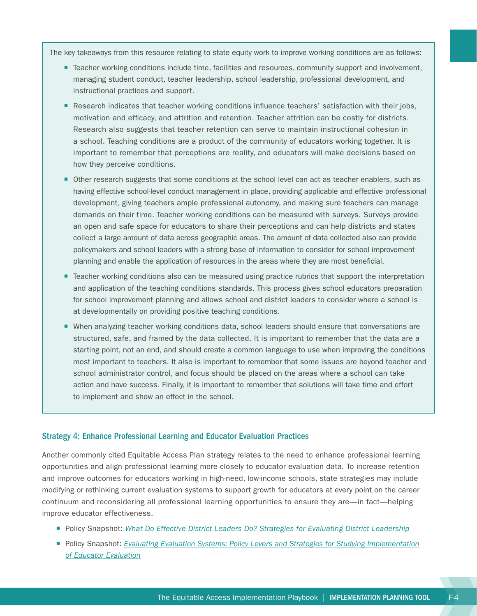The key takeaways from this resource relating to state equity work to improve working conditions are as follows:

- Teacher working conditions include time, facilities and resources, community support and involvement, managing student conduct, teacher leadership, school leadership, professional development, and instructional practices and support.
- Research indicates that teacher working conditions influence teachers' satisfaction with their jobs, motivation and efficacy, and attrition and retention. Teacher attrition can be costly for districts. Research also suggests that teacher retention can serve to maintain instructional cohesion in a school. Teaching conditions are a product of the community of educators working together. It is important to remember that perceptions are reality, and educators will make decisions based on how they perceive conditions.
- ¡ Other research suggests that some conditions at the school level can act as teacher enablers, such as having effective school-level conduct management in place, providing applicable and effective professional development, giving teachers ample professional autonomy, and making sure teachers can manage demands on their time. Teacher working conditions can be measured with surveys. Surveys provide an open and safe space for educators to share their perceptions and can help districts and states collect a large amount of data across geographic areas. The amount of data collected also can provide policymakers and school leaders with a strong base of information to consider for school improvement planning and enable the application of resources in the areas where they are most beneficial.
- Teacher working conditions also can be measured using practice rubrics that support the interpretation and application of the teaching conditions standards. This process gives school educators preparation for school improvement planning and allows school and district leaders to consider where a school is at developmentally on providing positive teaching conditions.
- When analyzing teacher working conditions data, school leaders should ensure that conversations are structured, safe, and framed by the data collected. It is important to remember that the data are a starting point, not an end, and should create a common language to use when improving the conditions most important to teachers. It also is important to remember that some issues are beyond teacher and school administrator control, and focus should be placed on the areas where a school can take action and have success. Finally, it is important to remember that solutions will take time and effort to implement and show an effect in the school.

#### Strategy 4: Enhance Professional Learning and Educator Evaluation Practices

Another commonly cited Equitable Access Plan strategy relates to the need to enhance professional learning opportunities and align professional learning more closely to educator evaluation data. To increase retention and improve outcomes for educators working in high-need, low-income schools, state strategies may include modifying or rethinking current evaluation systems to support growth for educators at every point on the career continuum and reconsidering all professional learning opportunities to ensure they are—in fact—helping improve educator effectiveness.

- Policy Snapshot: [What Do Effective District Leaders Do? Strategies for Evaluating District Leadership](http://www.gtlcenter.org/sites/default/files/Evaluating_District_Leadership.pdf)
- Policy Snapshot: *[Evaluating Evaluation Systems: Policy Levers and Strategies for Studying Implementation](http://www.gtlcenter.org/sites/default/files/Evaluating_Evaluation_Studies.pdf) [of Educator Evaluation](http://www.gtlcenter.org/sites/default/files/Evaluating_Evaluation_Studies.pdf)*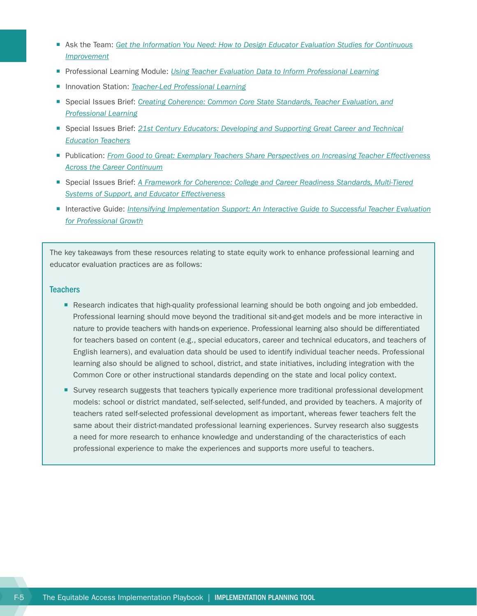- Ask the Team: [Get the Information You Need: How to Design Educator Evaluation Studies for Continuous](http://www.gtlcenter.org/sites/default/files/AskTeam_Design_Educator_Evaluation_Studies.pdf) *[Improvement](http://www.gtlcenter.org/sites/default/files/AskTeam_Design_Educator_Evaluation_Studies.pdf)*
- Professional Learning Module: *[Using Teacher Evaluation Data to Inform Professional Learning](http://www.gtlcenter.org/technical-assistance/professional-learning-modules/using-teacher-evaluation-data-inform-professional-learning)*
- Innovation Station: *[Teacher-Led Professional Learning](http://www.gtlcenter.org/learning-hub/innovation-station/teacher-led-professional-learning)*
- ¡ Special Issues Brief: *[Creating Coherence: Common Core State Standards, Teacher Evaluation, and](http://www.gtlcenter.org/sites/default/files/CreatingCoherence.pdf) [Professional Learning](http://www.gtlcenter.org/sites/default/files/CreatingCoherence.pdf)*
- Special Issues Brief: [21st Century Educators: Developing and Supporting Great Career and Technical](http://www.gtlcenter.org/sites/default/files/21CenturyEducators.pdf) *[Education Teachers](http://www.gtlcenter.org/sites/default/files/21CenturyEducators.pdf)*
- ¡ Publication: *[From Good to Great: Exemplary Teachers Share Perspectives on Increasing Teacher Effectiveness](http://www.gtlcenter.org/sites/default/files/Good_to_Great_Report.pdf) [Across the Career Continuum](http://www.gtlcenter.org/sites/default/files/Good_to_Great_Report.pdf)*
- Special Issues Brief: *[A Framework for Coherence: College and Career Readiness Standards, Multi-Tiered](http://www.gtlcenter.org/sites/default/files/Multi-Tiered_Systems_of_Support.pdf) [Systems of Support, and Educator Effectiveness](http://www.gtlcenter.org/sites/default/files/Multi-Tiered_Systems_of_Support.pdf)*
- ¡ Interactive Guide: *[Intensifying Implementation Support: An Interactive Guide to Successful Teacher Evaluation](http://www.gtlcenter.org/sites/default/files/NEA_Guide_Evaluation_Implementation.PDF) [for Professional Growth](http://www.gtlcenter.org/sites/default/files/NEA_Guide_Evaluation_Implementation.PDF)*

The key takeaways from these resources relating to state equity work to enhance professional learning and educator evaluation practices are as follows:

#### **Teachers**

- Research indicates that high-quality professional learning should be both ongoing and job embedded. Professional learning should move beyond the traditional sit-and-get models and be more interactive in nature to provide teachers with hands-on experience. Professional learning also should be differentiated for teachers based on content (e.g., special educators, career and technical educators, and teachers of English learners), and evaluation data should be used to identify individual teacher needs. Professional learning also should be aligned to school, district, and state initiatives, including integration with the Common Core or other instructional standards depending on the state and local policy context.
- Survey research suggests that teachers typically experience more traditional professional development models: school or district mandated, self-selected, self-funded, and provided by teachers. A majority of teachers rated self-selected professional development as important, whereas fewer teachers felt the same about their district-mandated professional learning experiences. Survey research also suggests a need for more research to enhance knowledge and understanding of the characteristics of each professional experience to make the experiences and supports more useful to teachers.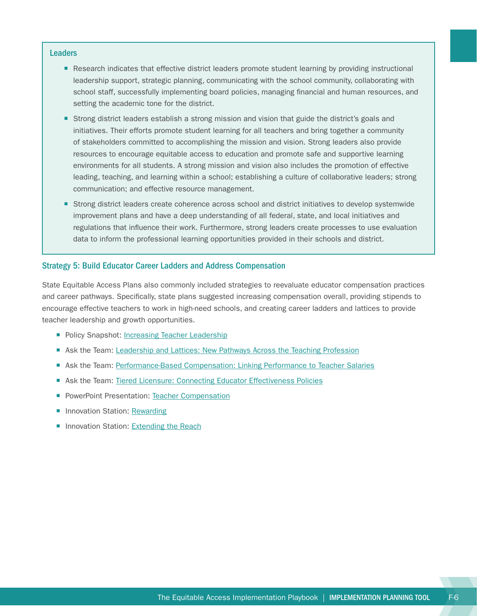#### **Leaders**

- Research indicates that effective district leaders promote student learning by providing instructional leadership support, strategic planning, communicating with the school community, collaborating with school staff, successfully implementing board policies, managing financial and human resources, and setting the academic tone for the district.
- Strong district leaders establish a strong mission and vision that guide the district's goals and initiatives. Their efforts promote student learning for all teachers and bring together a community of stakeholders committed to accomplishing the mission and vision. Strong leaders also provide resources to encourage equitable access to education and promote safe and supportive learning environments for all students. A strong mission and vision also includes the promotion of effective leading, teaching, and learning within a school; establishing a culture of collaborative leaders; strong communication; and effective resource management.
- Strong district leaders create coherence across school and district initiatives to develop systemwide improvement plans and have a deep understanding of all federal, state, and local initiatives and regulations that influence their work. Furthermore, strong leaders create processes to use evaluation data to inform the professional learning opportunities provided in their schools and district.

#### Strategy 5: Build Educator Career Ladders and Address Compensation

State Equitable Access Plans also commonly included strategies to reevaluate educator compensation practices and career pathways. Specifically, state plans suggested increasing compensation overall, providing stipends to encourage effective teachers to work in high-need schools, and creating career ladders and lattices to provide teacher leadership and growth opportunities.

- Policy Snapshot: [Increasing Teacher Leadership](http://www.gtlcenter.org/sites/default/files/Snapshot_Teacher_Leadership.PDF)
- **EXECT Ask the Team: [Leadership and Lattices: New Pathways Across the Teaching Profession](http://www.gtlcenter.org/sites/default/files/1580%20GTL%20Ask%20the%20Team_Leadership%20Lattices%20d2%20lvr.pdf)**
- Ask the Team: [Performance-Based Compensation: Linking Performance to Teacher Salaries](http://www.gtlcenter.org/sites/default/files/AskTeam_Compensation.pdf)
- Ask the Team: [Tiered Licensure: Connecting Educator Effectiveness Policies](http://www.gtlcenter.org/sites/default/files/Tiered_Licensure.pdf)
- **PowerPoint Presentation: [Teacher Compensation](http://www.gtlcenter.org/sites/default/files/Teacher_Compensation.pdf)**
- **Innovation Station: [Rewarding](http://www.gtlcenter.org/learning-hub/innovation-station/general-resources)**
- Innovation Station: [Extending the Reach](http://www.gtlcenter.org/learning-hub/innovation-station/extending-reach)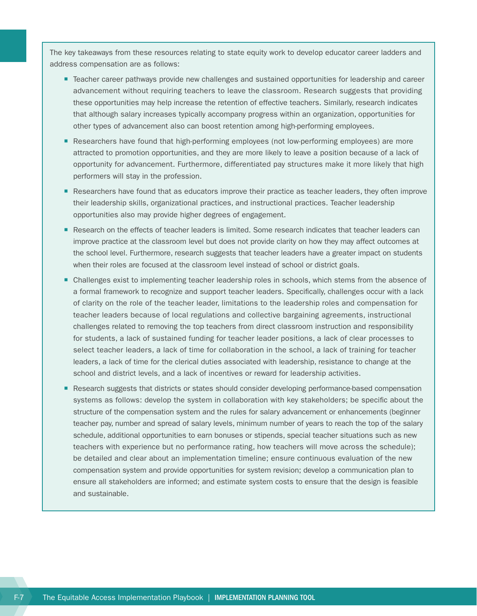The key takeaways from these resources relating to state equity work to develop educator career ladders and address compensation are as follows:

- Teacher career pathways provide new challenges and sustained opportunities for leadership and career advancement without requiring teachers to leave the classroom. Research suggests that providing these opportunities may help increase the retention of effective teachers. Similarly, research indicates that although salary increases typically accompany progress within an organization, opportunities for other types of advancement also can boost retention among high-performing employees.
- Researchers have found that high-performing employees (not low-performing employees) are more attracted to promotion opportunities, and they are more likely to leave a position because of a lack of opportunity for advancement. Furthermore, differentiated pay structures make it more likely that high performers will stay in the profession.
- Researchers have found that as educators improve their practice as teacher leaders, they often improve their leadership skills, organizational practices, and instructional practices. Teacher leadership opportunities also may provide higher degrees of engagement.
- Research on the effects of teacher leaders is limited. Some research indicates that teacher leaders can improve practice at the classroom level but does not provide clarity on how they may affect outcomes at the school level. Furthermore, research suggests that teacher leaders have a greater impact on students when their roles are focused at the classroom level instead of school or district goals.
- Challenges exist to implementing teacher leadership roles in schools, which stems from the absence of a formal framework to recognize and support teacher leaders. Specifically, challenges occur with a lack of clarity on the role of the teacher leader, limitations to the leadership roles and compensation for teacher leaders because of local regulations and collective bargaining agreements, instructional challenges related to removing the top teachers from direct classroom instruction and responsibility for students, a lack of sustained funding for teacher leader positions, a lack of clear processes to select teacher leaders, a lack of time for collaboration in the school, a lack of training for teacher leaders, a lack of time for the clerical duties associated with leadership, resistance to change at the school and district levels, and a lack of incentives or reward for leadership activities.
- Research suggests that districts or states should consider developing performance-based compensation systems as follows: develop the system in collaboration with key stakeholders; be specific about the structure of the compensation system and the rules for salary advancement or enhancements (beginner teacher pay, number and spread of salary levels, minimum number of years to reach the top of the salary schedule, additional opportunities to earn bonuses or stipends, special teacher situations such as new teachers with experience but no performance rating, how teachers will move across the schedule); be detailed and clear about an implementation timeline; ensure continuous evaluation of the new compensation system and provide opportunities for system revision; develop a communication plan to ensure all stakeholders are informed; and estimate system costs to ensure that the design is feasible and sustainable.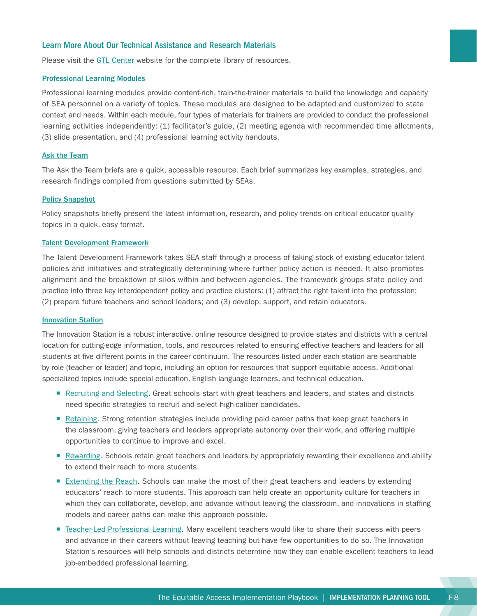#### Learn More About Our Technical Assistance and Research Materials

Please visit the [GTL Center](http://www.gtlcenter.org/) website for the complete library of resources.

#### [Professional Learning Modules](http://www.gtlcenter.org/technical-assistance/professional-learning-modules)

Professional learning modules provide content-rich, train-the-trainer materials to build the knowledge and capacity of SEA personnel on a variety of topics. These modules are designed to be adapted and customized to state context and needs. Within each module, four types of materials for trainers are provided to conduct the professional learning activities independently: (1) facilitator's guide, (2) meeting agenda with recommended time allotments, (3) slide presentation, and (4) professional learning activity handouts.

#### [Ask the Team](http://www.gtlcenter.org/technical-assistance/ask-the-team)

The Ask the Team briefs are a quick, accessible resource. Each brief summarizes key examples, strategies, and research findings compiled from questions submitted by SEAs.

#### [Policy Snapshot](http://www.gtlcenter.org/technical-assistance/policy-snapshot)

Policy snapshots briefly present the latest information, research, and policy trends on critical educator quality topics in a quick, easy format.

#### [Talent Development Framework](http://www.gtlcenter.org/sites/default/files/14-2591_GTL_Talent_Dev_Framework-ed_110714.pdf)

The Talent Development Framework takes SEA staff through a process of taking stock of existing educator talent policies and initiatives and strategically determining where further policy action is needed. It also promotes alignment and the breakdown of silos within and between agencies. The framework groups state policy and practice into three key interdependent policy and practice clusters: (1) attract the right talent into the profession; (2) prepare future teachers and school leaders; and (3) develop, support, and retain educators.

#### [Innovation Station](http://www.gtlcenter.org/learning-hub/innovation-station)

The Innovation Station is a robust interactive, online resource designed to provide states and districts with a central location for cutting-edge information, tools, and resources related to ensuring effective teachers and leaders for all students at five different points in the career continuum. The resources listed under each station are searchable by role (teacher or leader) and topic, including an option for resources that support equitable access. Additional specialized topics include special education, English language learners, and technical education.

- [Recruiting and Selecting](http://www.gtlcenter.org/learning-hub/innovation-station/recruiting-selecting). Great schools start with great teachers and leaders, and states and districts need specific strategies to recruit and select high-caliber candidates.
- [Retaining.](http://www.gtlcenter.org/learning-hub/innovation-station/retaining) Strong retention strategies include providing paid career paths that keep great teachers in the classroom, giving teachers and leaders appropriate autonomy over their work, and offering multiple opportunities to continue to improve and excel.
- [Rewarding.](http://www.gtlcenter.org/learning-hub/innovation-station/general-resources) Schools retain great teachers and leaders by appropriately rewarding their excellence and ability to extend their reach to more students.
- [Extending the Reach](http://www.gtlcenter.org/learning-hub/innovation-station/extending-reach). Schools can make the most of their great teachers and leaders by extending educators' reach to more students. This approach can help create an opportunity culture for teachers in which they can collaborate, develop, and advance without leaving the classroom, and innovations in staffing models and career paths can make this approach possible.
- [Teacher-Led Professional Learning](http://www.gtlcenter.org/learning-hub/innovation-station/teacher-led-professional-learning). Many excellent teachers would like to share their success with peers and advance in their careers without leaving teaching but have few opportunities to do so. The Innovation Station's resources will help schools and districts determine how they can enable excellent teachers to lead job-embedded professional learning.